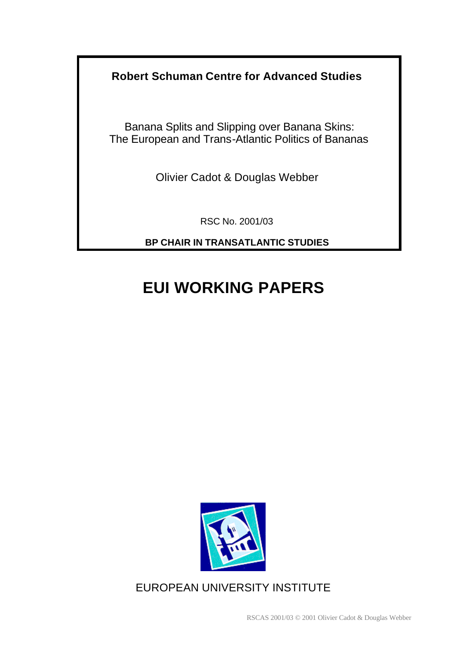**Robert Schuman Centre for Advanced Studies**

Banana Splits and Slipping over Banana Skins: The European and Trans-Atlantic Politics of Bananas

Olivier Cadot & Douglas Webber

RSC No. 2001/03

**BP CHAIR IN TRANSATLANTIC STUDIES**

# **EUI WORKING PAPERS**



EUROPEAN UNIVERSITY INSTITUTE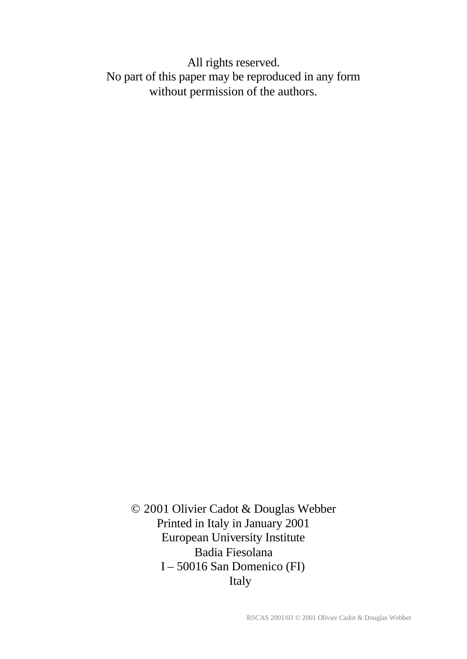All rights reserved. No part of this paper may be reproduced in any form without permission of the authors.

© 2001 Olivier Cadot & Douglas Webber Printed in Italy in January 2001 European University Institute Badia Fiesolana I – 50016 San Domenico (FI) Italy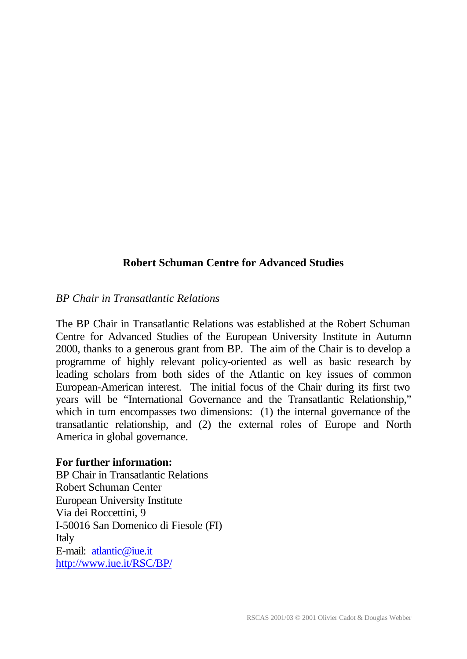# **Robert Schuman Centre for Advanced Studies**

#### *BP Chair in Transatlantic Relations*

The BP Chair in Transatlantic Relations was established at the Robert Schuman Centre for Advanced Studies of the European University Institute in Autumn 2000, thanks to a generous grant from BP. The aim of the Chair is to develop a programme of highly relevant policy-oriented as well as basic research by leading scholars from both sides of the Atlantic on key issues of common European-American interest. The initial focus of the Chair during its first two years will be "International Governance and the Transatlantic Relationship," which in turn encompasses two dimensions: (1) the internal governance of the transatlantic relationship, and (2) the external roles of Europe and North America in global governance.

#### **For further information:**

BP Chair in Transatlantic Relations Robert Schuman Center European University Institute Via dei Roccettini, 9 I-50016 San Domenico di Fiesole (FI) Italy E-mail: atlantic@iue.it http://www.iue.it/RSC/BP/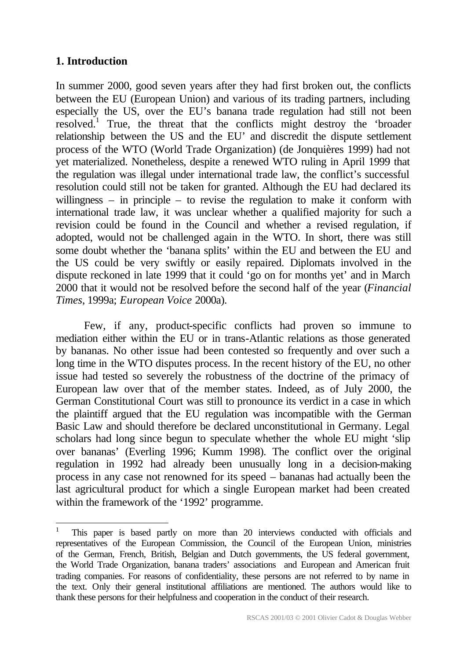# **1. Introduction**

l

In summer 2000, good seven years after they had first broken out, the conflicts between the EU (European Union) and various of its trading partners, including especially the US, over the EU's banana trade regulation had still not been resolved.<sup>1</sup> True, the threat that the conflicts might destroy the 'broader relationship between the US and the EU' and discredit the dispute settlement process of the WTO (World Trade Organization) (de Jonquières 1999) had not yet materialized. Nonetheless, despite a renewed WTO ruling in April 1999 that the regulation was illegal under international trade law, the conflict's successful resolution could still not be taken for granted. Although the EU had declared its willingness – in principle – to revise the regulation to make it conform with international trade law, it was unclear whether a qualified majority for such a revision could be found in the Council and whether a revised regulation, if adopted, would not be challenged again in the WTO. In short, there was still some doubt whether the 'banana splits' within the EU and between the EU and the US could be very swiftly or easily repaired. Diplomats involved in the dispute reckoned in late 1999 that it could 'go on for months yet' and in March 2000 that it would not be resolved before the second half of the year (*Financial Times*, 1999a; *European Voice* 2000a).

Few, if any, product-specific conflicts had proven so immune to mediation either within the EU or in trans-Atlantic relations as those generated by bananas. No other issue had been contested so frequently and over such a long time in the WTO disputes process. In the recent history of the EU, no other issue had tested so severely the robustness of the doctrine of the primacy of European law over that of the member states. Indeed, as of July 2000, the German Constitutional Court was still to pronounce its verdict in a case in which the plaintiff argued that the EU regulation was incompatible with the German Basic Law and should therefore be declared unconstitutional in Germany. Legal scholars had long since begun to speculate whether the whole EU might 'slip over bananas' (Everling 1996; Kumm 1998). The conflict over the original regulation in 1992 had already been unusually long in a decision-making process in any case not renowned for its speed – bananas had actually been the last agricultural product for which a single European market had been created within the framework of the '1992' programme.

<sup>1</sup> This paper is based partly on more than 20 interviews conducted with officials and representatives of the European Commission, the Council of the European Union, ministries of the German, French, British, Belgian and Dutch governments, the US federal government, the World Trade Organization, banana traders' associations and European and American fruit trading companies. For reasons of confidentiality, these persons are not referred to by name in the text. Only their general institutional affiliations are mentioned. The authors would like to thank these persons for their helpfulness and cooperation in the conduct of their research.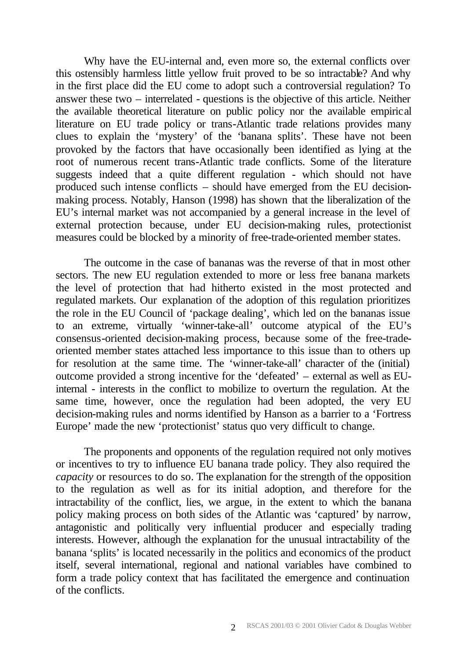Why have the EU-internal and, even more so, the external conflicts over this ostensibly harmless little yellow fruit proved to be so intractable? And why in the first place did the EU come to adopt such a controversial regulation? To answer these two – interrelated - questions is the objective of this article. Neither the available theoretical literature on public policy nor the available empirical literature on EU trade policy or trans-Atlantic trade relations provides many clues to explain the 'mystery' of the 'banana splits'. These have not been provoked by the factors that have occasionally been identified as lying at the root of numerous recent trans-Atlantic trade conflicts. Some of the literature suggests indeed that a quite different regulation - which should not have produced such intense conflicts – should have emerged from the EU decisionmaking process. Notably, Hanson (1998) has shown that the liberalization of the EU's internal market was not accompanied by a general increase in the level of external protection because, under EU decision-making rules, protectionist measures could be blocked by a minority of free-trade-oriented member states.

The outcome in the case of bananas was the reverse of that in most other sectors. The new EU regulation extended to more or less free banana markets the level of protection that had hitherto existed in the most protected and regulated markets. Our explanation of the adoption of this regulation prioritizes the role in the EU Council of 'package dealing', which led on the bananas issue to an extreme, virtually 'winner-take-all' outcome atypical of the EU's consensus-oriented decision-making process, because some of the free-tradeoriented member states attached less importance to this issue than to others up for resolution at the same time. The 'winner-take-all' character of the (initial) outcome provided a strong incentive for the 'defeated' – external as well as EUinternal - interests in the conflict to mobilize to overturn the regulation. At the same time, however, once the regulation had been adopted, the very EU decision-making rules and norms identified by Hanson as a barrier to a 'Fortress Europe' made the new 'protectionist' status quo very difficult to change.

The proponents and opponents of the regulation required not only motives or incentives to try to influence EU banana trade policy. They also required the *capacity* or resources to do so. The explanation for the strength of the opposition to the regulation as well as for its initial adoption, and therefore for the intractability of the conflict, lies, we argue, in the extent to which the banana policy making process on both sides of the Atlantic was 'captured' by narrow, antagonistic and politically very influential producer and especially trading interests. However, although the explanation for the unusual intractability of the banana 'splits' is located necessarily in the politics and economics of the product itself, several international, regional and national variables have combined to form a trade policy context that has facilitated the emergence and continuation of the conflicts.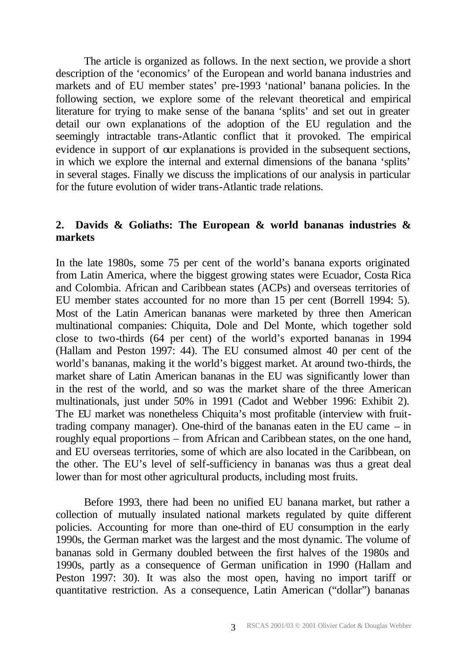The article is organized as follows. In the next section, we provide a short description of the 'economics' of the European and world banana industries and markets and of EU member states' pre-1993 'national' banana policies. In the following section, we explore some of the relevant theoretical and empirical literature for trying to make sense of the banana 'splits' and set out in greater detail our own explanations of the adoption of the EU regulation and the seemingly intractable trans-Atlantic conflict that it provoked. The empirical evidence in support of our explanations is provided in the subsequent sections, in which we explore the internal and external dimensions of the banana 'splits' in several stages. Finally we discuss the implications of our analysis in particular for the future evolution of wider trans-Atlantic trade relations.

## **2. Davids & Goliaths: The European & world bananas industries & markets**

In the late 1980s, some 75 per cent of the world's banana exports originated from Latin America, where the biggest growing states were Ecuador, Costa Rica and Colombia. African and Caribbean states (ACPs) and overseas territories of EU member states accounted for no more than 15 per cent (Borrell 1994: 5). Most of the Latin American bananas were marketed by three then American multinational companies: Chiquita, Dole and Del Monte, which together sold close to two-thirds (64 per cent) of the world's exported bananas in 1994 (Hallam and Peston 1997: 44). The EU consumed almost 40 per cent of the world's bananas, making it the world's biggest market. At around two-thirds, the market share of Latin American bananas in the EU was significantly lower than in the rest of the world, and so was the market share of the three American multinationals, just under 50% in 1991 (Cadot and Webber 1996: Exhibit 2). The EU market was nonetheless Chiquita's most profitable (interview with fruittrading company manager). One-third of the bananas eaten in the EU came – in roughly equal proportions – from African and Caribbean states, on the one hand, and EU overseas territories, some of which are also located in the Caribbean, on the other. The EU's level of self-sufficiency in bananas was thus a great deal lower than for most other agricultural products, including most fruits.

Before 1993, there had been no unified EU banana market, but rather a collection of mutually insulated national markets regulated by quite different policies. Accounting for more than one-third of EU consumption in the early 1990s, the German market was the largest and the most dynamic. The volume of bananas sold in Germany doubled between the first halves of the 1980s and 1990s, partly as a consequence of German unification in 1990 (Hallam and Peston 1997: 30). It was also the most open, having no import tariff or quantitative restriction. As a consequence, Latin American ("dollar") bananas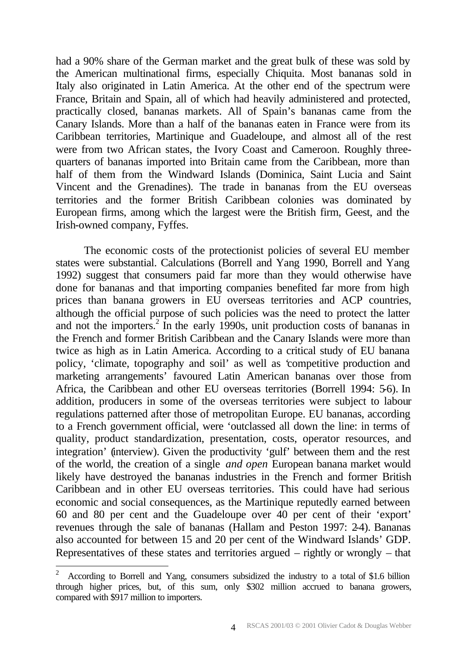had a 90% share of the German market and the great bulk of these was sold by the American multinational firms, especially Chiquita. Most bananas sold in Italy also originated in Latin America. At the other end of the spectrum were France, Britain and Spain, all of which had heavily administered and protected, practically closed, bananas markets. All of Spain's bananas came from the Canary Islands. More than a half of the bananas eaten in France were from its Caribbean territories, Martinique and Guadeloupe, and almost all of the rest were from two African states, the Ivory Coast and Cameroon. Roughly threequarters of bananas imported into Britain came from the Caribbean, more than half of them from the Windward Islands (Dominica, Saint Lucia and Saint Vincent and the Grenadines). The trade in bananas from the EU overseas territories and the former British Caribbean colonies was dominated by European firms, among which the largest were the British firm, Geest, and the Irish-owned company, Fyffes.

The economic costs of the protectionist policies of several EU member states were substantial. Calculations (Borrell and Yang 1990, Borrell and Yang 1992) suggest that consumers paid far more than they would otherwise have done for bananas and that importing companies benefited far more from high prices than banana growers in EU overseas territories and ACP countries, although the official purpose of such policies was the need to protect the latter and not the importers.<sup>2</sup> In the early 1990s, unit production costs of bananas in the French and former British Caribbean and the Canary Islands were more than twice as high as in Latin America. According to a critical study of EU banana policy, 'climate, topography and soil' as well as 'competitive production and marketing arrangements' favoured Latin American bananas over those from Africa, the Caribbean and other EU overseas territories (Borrell 1994: 5-6). In addition, producers in some of the overseas territories were subject to labour regulations patterned after those of metropolitan Europe. EU bananas, according to a French government official, were 'outclassed all down the line: in terms of quality, product standardization, presentation, costs, operator resources, and integration' (interview). Given the productivity 'gulf' between them and the rest of the world, the creation of a single *and open* European banana market would likely have destroyed the bananas industries in the French and former British Caribbean and in other EU overseas territories. This could have had serious economic and social consequences, as the Martinique reputedly earned between 60 and 80 per cent and the Guadeloupe over 40 per cent of their 'export' revenues through the sale of bananas (Hallam and Peston 1997: 2-4). Bananas also accounted for between 15 and 20 per cent of the Windward Islands' GDP. Representatives of these states and territories argued – rightly or wrongly – that

<sup>2</sup> According to Borrell and Yang, consumers subsidized the industry to a total of \$1.6 billion through higher prices, but, of this sum, only \$302 million accrued to banana growers, compared with \$917 million to importers.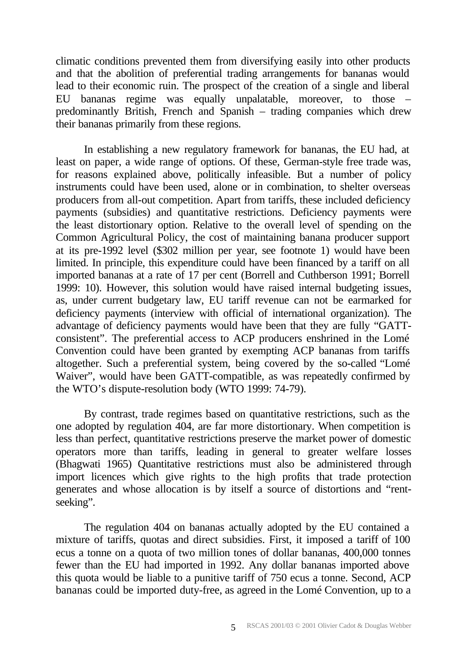climatic conditions prevented them from diversifying easily into other products and that the abolition of preferential trading arrangements for bananas would lead to their economic ruin. The prospect of the creation of a single and liberal EU bananas regime was equally unpalatable, moreover, to those – predominantly British, French and Spanish – trading companies which drew their bananas primarily from these regions.

In establishing a new regulatory framework for bananas, the EU had, at least on paper, a wide range of options. Of these, German-style free trade was, for reasons explained above, politically infeasible. But a number of policy instruments could have been used, alone or in combination, to shelter overseas producers from all-out competition. Apart from tariffs, these included deficiency payments (subsidies) and quantitative restrictions. Deficiency payments were the least distortionary option. Relative to the overall level of spending on the Common Agricultural Policy, the cost of maintaining banana producer support at its pre-1992 level (\$302 million per year, see footnote 1) would have been limited. In principle, this expenditure could have been financed by a tariff on all imported bananas at a rate of 17 per cent (Borrell and Cuthberson 1991; Borrell 1999: 10). However, this solution would have raised internal budgeting issues, as, under current budgetary law, EU tariff revenue can not be earmarked for deficiency payments (interview with official of international organization). The advantage of deficiency payments would have been that they are fully "GATTconsistent". The preferential access to ACP producers enshrined in the Lomé Convention could have been granted by exempting ACP bananas from tariffs altogether. Such a preferential system, being covered by the so-called "Lomé Waiver", would have been GATT-compatible, as was repeatedly confirmed by the WTO's dispute-resolution body (WTO 1999: 74-79).

By contrast, trade regimes based on quantitative restrictions, such as the one adopted by regulation 404, are far more distortionary. When competition is less than perfect, quantitative restrictions preserve the market power of domestic operators more than tariffs, leading in general to greater welfare losses (Bhagwati 1965) Quantitative restrictions must also be administered through import licences which give rights to the high profits that trade protection generates and whose allocation is by itself a source of distortions and "rentseeking".

The regulation 404 on bananas actually adopted by the EU contained a mixture of tariffs, quotas and direct subsidies. First, it imposed a tariff of 100 ecus a tonne on a quota of two million tones of dollar bananas, 400,000 tonnes fewer than the EU had imported in 1992. Any dollar bananas imported above this quota would be liable to a punitive tariff of 750 ecus a tonne. Second, ACP bananas could be imported duty-free, as agreed in the Lomé Convention, up to a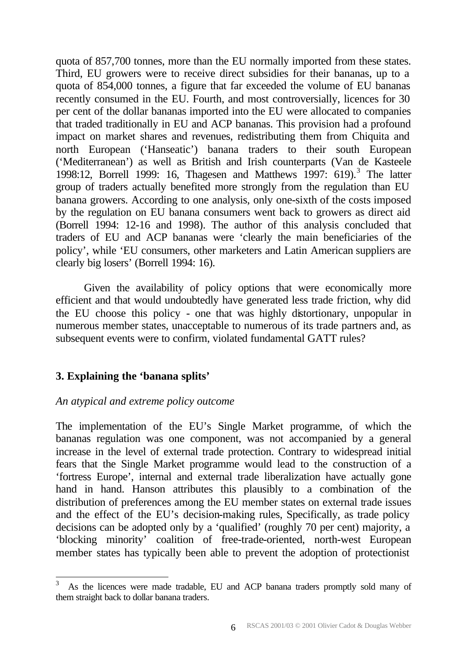quota of 857,700 tonnes, more than the EU normally imported from these states. Third, EU growers were to receive direct subsidies for their bananas, up to a quota of 854,000 tonnes, a figure that far exceeded the volume of EU bananas recently consumed in the EU. Fourth, and most controversially, licences for 30 per cent of the dollar bananas imported into the EU were allocated to companies that traded traditionally in EU and ACP bananas. This provision had a profound impact on market shares and revenues, redistributing them from Chiquita and north European ('Hanseatic') banana traders to their south European ('Mediterranean') as well as British and Irish counterparts (Van de Kasteele 1998:12, Borrell 1999: 16, Thagesen and Matthews 1997: 619).<sup>3</sup> The latter group of traders actually benefited more strongly from the regulation than EU banana growers. According to one analysis, only one-sixth of the costs imposed by the regulation on EU banana consumers went back to growers as direct aid (Borrell 1994: 12-16 and 1998). The author of this analysis concluded that traders of EU and ACP bananas were 'clearly the main beneficiaries of the policy', while 'EU consumers, other marketers and Latin American suppliers are clearly big losers' (Borrell 1994: 16).

Given the availability of policy options that were economically more efficient and that would undoubtedly have generated less trade friction, why did the EU choose this policy - one that was highly distortionary, unpopular in numerous member states, unacceptable to numerous of its trade partners and, as subsequent events were to confirm, violated fundamental GATT rules?

# **3. Explaining the 'banana splits'**

l

#### *An atypical and extreme policy outcome*

The implementation of the EU's Single Market programme, of which the bananas regulation was one component, was not accompanied by a general increase in the level of external trade protection. Contrary to widespread initial fears that the Single Market programme would lead to the construction of a 'fortress Europe', internal and external trade liberalization have actually gone hand in hand. Hanson attributes this plausibly to a combination of the distribution of preferences among the EU member states on external trade issues and the effect of the EU's decision-making rules, Specifically, as trade policy decisions can be adopted only by a 'qualified' (roughly 70 per cent) majority, a 'blocking minority' coalition of free-trade-oriented, north-west European member states has typically been able to prevent the adoption of protectionist

<sup>3</sup> As the licences were made tradable, EU and ACP banana traders promptly sold many of them straight back to dollar banana traders.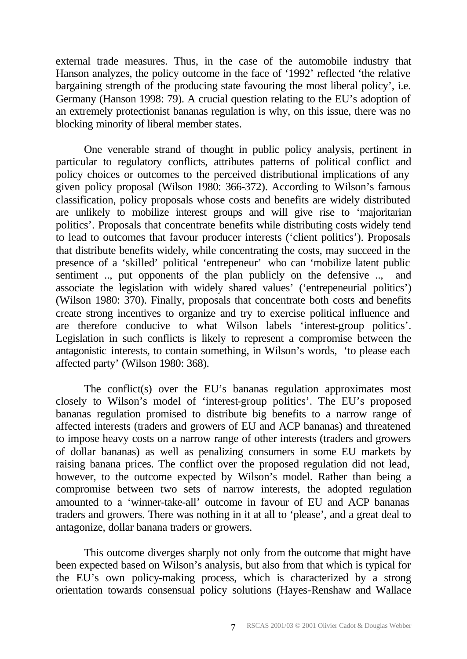external trade measures. Thus, in the case of the automobile industry that Hanson analyzes, the policy outcome in the face of '1992' reflected 'the relative bargaining strength of the producing state favouring the most liberal policy', i.e. Germany (Hanson 1998: 79). A crucial question relating to the EU's adoption of an extremely protectionist bananas regulation is why, on this issue, there was no blocking minority of liberal member states.

One venerable strand of thought in public policy analysis, pertinent in particular to regulatory conflicts, attributes patterns of political conflict and policy choices or outcomes to the perceived distributional implications of any given policy proposal (Wilson 1980: 366-372). According to Wilson's famous classification, policy proposals whose costs and benefits are widely distributed are unlikely to mobilize interest groups and will give rise to 'majoritarian politics'. Proposals that concentrate benefits while distributing costs widely tend to lead to outcomes that favour producer interests ('client politics'). Proposals that distribute benefits widely, while concentrating the costs, may succeed in the presence of a 'skilled' political 'entrepeneur' who can 'mobilize latent public sentiment .., put opponents of the plan publicly on the defensive .., and associate the legislation with widely shared values' ('entrepeneurial politics') (Wilson 1980: 370). Finally, proposals that concentrate both costs and benefits create strong incentives to organize and try to exercise political influence and are therefore conducive to what Wilson labels 'interest-group politics'. Legislation in such conflicts is likely to represent a compromise between the antagonistic interests, to contain something, in Wilson's words, 'to please each affected party' (Wilson 1980: 368).

The conflict(s) over the EU's bananas regulation approximates most closely to Wilson's model of 'interest-group politics'. The EU's proposed bananas regulation promised to distribute big benefits to a narrow range of affected interests (traders and growers of EU and ACP bananas) and threatened to impose heavy costs on a narrow range of other interests (traders and growers of dollar bananas) as well as penalizing consumers in some EU markets by raising banana prices. The conflict over the proposed regulation did not lead, however, to the outcome expected by Wilson's model. Rather than being a compromise between two sets of narrow interests, the adopted regulation amounted to a 'winner-take-all' outcome in favour of EU and ACP bananas traders and growers. There was nothing in it at all to 'please', and a great deal to antagonize, dollar banana traders or growers.

This outcome diverges sharply not only from the outcome that might have been expected based on Wilson's analysis, but also from that which is typical for the EU's own policy-making process, which is characterized by a strong orientation towards consensual policy solutions (Hayes-Renshaw and Wallace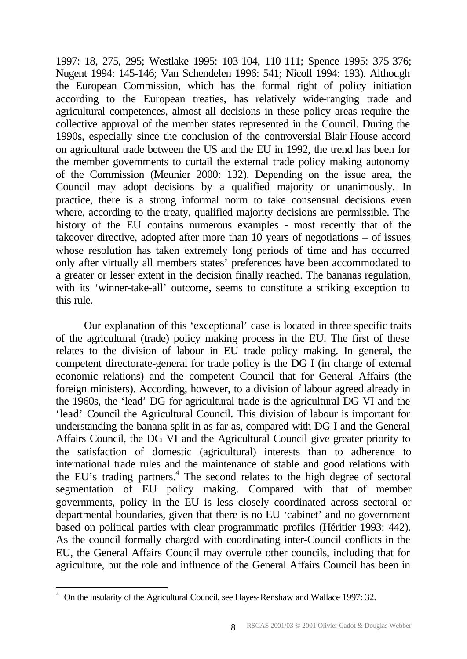1997: 18, 275, 295; Westlake 1995: 103-104, 110-111; Spence 1995: 375-376; Nugent 1994: 145-146; Van Schendelen 1996: 541; Nicoll 1994: 193). Although the European Commission, which has the formal right of policy initiation according to the European treaties, has relatively wide-ranging trade and agricultural competences, almost all decisions in these policy areas require the collective approval of the member states represented in the Council. During the 1990s, especially since the conclusion of the controversial Blair House accord on agricultural trade between the US and the EU in 1992, the trend has been for the member governments to curtail the external trade policy making autonomy of the Commission (Meunier 2000: 132). Depending on the issue area, the Council may adopt decisions by a qualified majority or unanimously. In practice, there is a strong informal norm to take consensual decisions even where, according to the treaty, qualified majority decisions are permissible. The history of the EU contains numerous examples - most recently that of the takeover directive, adopted after more than  $10$  years of negotiations – of issues whose resolution has taken extremely long periods of time and has occurred only after virtually all members states' preferences have been accommodated to a greater or lesser extent in the decision finally reached. The bananas regulation, with its 'winner-take-all' outcome, seems to constitute a striking exception to this rule.

Our explanation of this 'exceptional' case is located in three specific traits of the agricultural (trade) policy making process in the EU. The first of these relates to the division of labour in EU trade policy making. In general, the competent directorate-general for trade policy is the DG I (in charge of external economic relations) and the competent Council that for General Affairs (the foreign ministers). According, however, to a division of labour agreed already in the 1960s, the 'lead' DG for agricultural trade is the agricultural DG VI and the 'lead' Council the Agricultural Council. This division of labour is important for understanding the banana split in as far as, compared with DG I and the General Affairs Council, the DG VI and the Agricultural Council give greater priority to the satisfaction of domestic (agricultural) interests than to adherence to international trade rules and the maintenance of stable and good relations with the EU's trading partners.<sup>4</sup> The second relates to the high degree of sectoral segmentation of EU policy making. Compared with that of member governments, policy in the EU is less closely coordinated across sectoral or departmental boundaries, given that there is no EU 'cabinet' and no government based on political parties with clear programmatic profiles (Héritier 1993: 442). As the council formally charged with coordinating inter-Council conflicts in the EU, the General Affairs Council may overrule other councils, including that for agriculture, but the role and influence of the General Affairs Council has been in

<sup>&</sup>lt;sup>4</sup> On the insularity of the Agricultural Council, see Hayes-Renshaw and Wallace 1997: 32.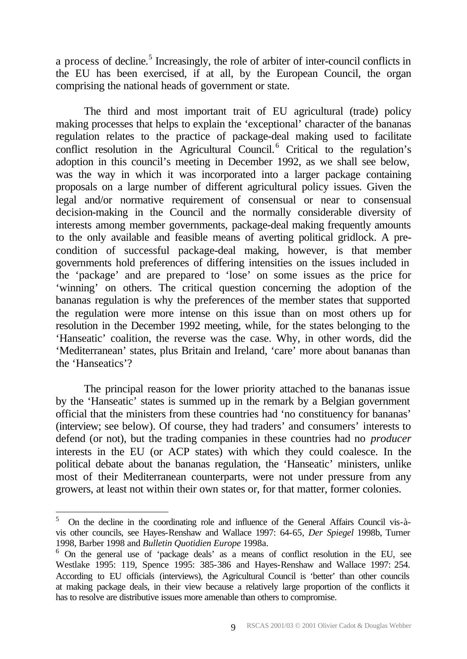a process of decline.<sup>5</sup> Increasingly, the role of arbiter of inter-council conflicts in the EU has been exercised, if at all, by the European Council, the organ comprising the national heads of government or state.

The third and most important trait of EU agricultural (trade) policy making processes that helps to explain the 'exceptional' character of the bananas regulation relates to the practice of package-deal making used to facilitate conflict resolution in the Agricultural Council.<sup>6</sup> Critical to the regulation's adoption in this council's meeting in December 1992, as we shall see below, was the way in which it was incorporated into a larger package containing proposals on a large number of different agricultural policy issues. Given the legal and/or normative requirement of consensual or near to consensual decision-making in the Council and the normally considerable diversity of interests among member governments, package-deal making frequently amounts to the only available and feasible means of averting political gridlock. A precondition of successful package-deal making, however, is that member governments hold preferences of differing intensities on the issues included in the 'package' and are prepared to 'lose' on some issues as the price for 'winning' on others. The critical question concerning the adoption of the bananas regulation is why the preferences of the member states that supported the regulation were more intense on this issue than on most others up for resolution in the December 1992 meeting, while, for the states belonging to the 'Hanseatic' coalition, the reverse was the case. Why, in other words, did the 'Mediterranean' states, plus Britain and Ireland, 'care' more about bananas than the 'Hanseatics'?

The principal reason for the lower priority attached to the bananas issue by the 'Hanseatic' states is summed up in the remark by a Belgian government official that the ministers from these countries had 'no constituency for bananas' (interview; see below). Of course, they had traders' and consumers' interests to defend (or not), but the trading companies in these countries had no *producer* interests in the EU (or ACP states) with which they could coalesce. In the political debate about the bananas regulation, the 'Hanseatic' ministers, unlike most of their Mediterranean counterparts, were not under pressure from any growers, at least not within their own states or, for that matter, former colonies.

<sup>5</sup> On the decline in the coordinating role and influence of the General Affairs Council vis-àvis other councils, see Hayes-Renshaw and Wallace 1997: 64-65, *Der Spiegel* 1998b, Turner 1998, Barber 1998 and *Bulletin Quotidien Europe* 1998a.

<sup>&</sup>lt;sup>6</sup> On the general use of 'package deals' as a means of conflict resolution in the EU, see Westlake 1995: 119, Spence 1995: 385-386 and Hayes-Renshaw and Wallace 1997: 254. According to EU officials (interviews), the Agricultural Council is 'better' than other councils at making package deals, in their view because a relatively large proportion of the conflicts it has to resolve are distributive issues more amenable than others to compromise.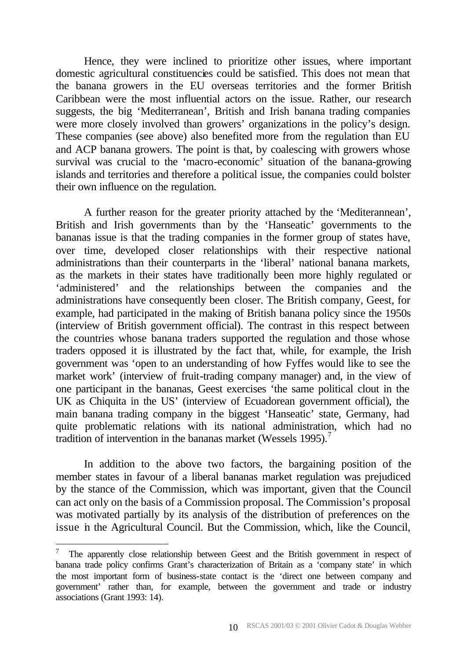Hence, they were inclined to prioritize other issues, where important domestic agricultural constituencies could be satisfied. This does not mean that the banana growers in the EU overseas territories and the former British Caribbean were the most influential actors on the issue. Rather, our research suggests, the big 'Mediterranean', British and Irish banana trading companies were more closely involved than growers' organizations in the policy's design. These companies (see above) also benefited more from the regulation than EU and ACP banana growers. The point is that, by coalescing with growers whose survival was crucial to the 'macro-economic' situation of the banana-growing islands and territories and therefore a political issue, the companies could bolster their own influence on the regulation.

A further reason for the greater priority attached by the 'Mediterannean', British and Irish governments than by the 'Hanseatic' governments to the bananas issue is that the trading companies in the former group of states have, over time, developed closer relationships with their respective national administrations than their counterparts in the 'liberal' national banana markets, as the markets in their states have traditionally been more highly regulated or 'administered' and the relationships between the companies and the administrations have consequently been closer. The British company, Geest, for example, had participated in the making of British banana policy since the 1950s (interview of British government official). The contrast in this respect between the countries whose banana traders supported the regulation and those whose traders opposed it is illustrated by the fact that, while, for example, the Irish government was 'open to an understanding of how Fyffes would like to see the market work' (interview of fruit-trading company manager) and, in the view of one participant in the bananas, Geest exercises 'the same political clout in the UK as Chiquita in the US' (interview of Ecuadorean government official), the main banana trading company in the biggest 'Hanseatic' state, Germany, had quite problematic relations with its national administration, which had no tradition of intervention in the bananas market (Wessels 1995).<sup>7</sup>

In addition to the above two factors, the bargaining position of the member states in favour of a liberal bananas market regulation was prejudiced by the stance of the Commission, which was important, given that the Council can act only on the basis of a Commission proposal. The Commission's proposal was motivated partially by its analysis of the distribution of preferences on the issue in the Agricultural Council. But the Commission, which, like the Council,

<sup>7</sup> The apparently close relationship between Geest and the British government in respect of banana trade policy confirms Grant's characterization of Britain as a 'company state' in which the most important form of business-state contact is the 'direct one between company and government' rather than, for example, between the government and trade or industry associations (Grant 1993: 14).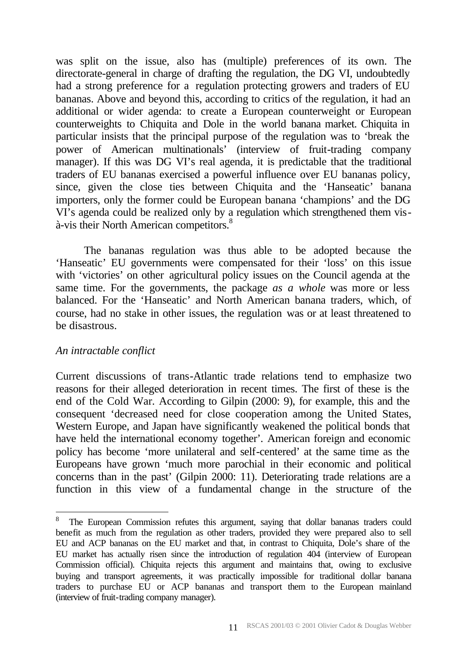was split on the issue, also has (multiple) preferences of its own. The directorate-general in charge of drafting the regulation, the DG VI, undoubtedly had a strong preference for a regulation protecting growers and traders of EU bananas. Above and beyond this, according to critics of the regulation, it had an additional or wider agenda: to create a European counterweight or European counterweights to Chiquita and Dole in the world banana market. Chiquita in particular insists that the principal purpose of the regulation was to 'break the power of American multinationals' (interview of fruit-trading company manager). If this was DG VI's real agenda, it is predictable that the traditional traders of EU bananas exercised a powerful influence over EU bananas policy, since, given the close ties between Chiquita and the 'Hanseatic' banana importers, only the former could be European banana 'champions' and the DG VI's agenda could be realized only by a regulation which strengthened them visà-vis their North American competitors.<sup>8</sup>

The bananas regulation was thus able to be adopted because the 'Hanseatic' EU governments were compensated for their 'loss' on this issue with 'victories' on other agricultural policy issues on the Council agenda at the same time. For the governments, the package *as a whole* was more or less balanced. For the 'Hanseatic' and North American banana traders, which, of course, had no stake in other issues, the regulation was or at least threatened to be disastrous.

#### *An intractable conflict*

l

Current discussions of trans-Atlantic trade relations tend to emphasize two reasons for their alleged deterioration in recent times. The first of these is the end of the Cold War. According to Gilpin (2000: 9), for example, this and the consequent 'decreased need for close cooperation among the United States, Western Europe, and Japan have significantly weakened the political bonds that have held the international economy together'. American foreign and economic policy has become 'more unilateral and self-centered' at the same time as the Europeans have grown 'much more parochial in their economic and political concerns than in the past' (Gilpin 2000: 11). Deteriorating trade relations are a function in this view of a fundamental change in the structure of the

<sup>8</sup> The European Commission refutes this argument, saying that dollar bananas traders could benefit as much from the regulation as other traders, provided they were prepared also to sell EU and ACP bananas on the EU market and that, in contrast to Chiquita, Dole's share of the EU market has actually risen since the introduction of regulation 404 (interview of European Commission official). Chiquita rejects this argument and maintains that, owing to exclusive buying and transport agreements, it was practically impossible for traditional dollar banana traders to purchase EU or ACP bananas and transport them to the European mainland (interview of fruit-trading company manager).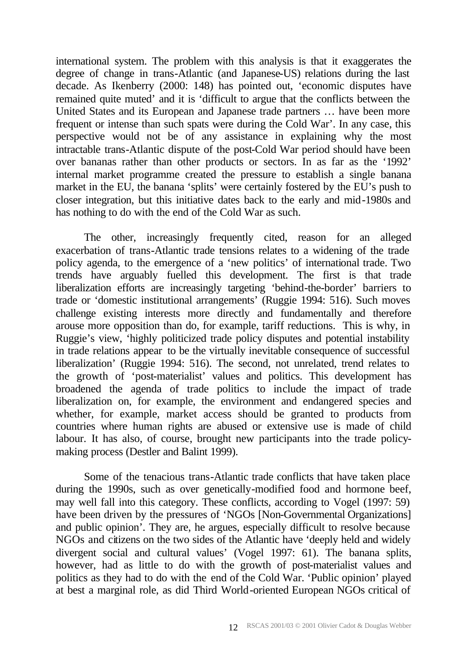international system. The problem with this analysis is that it exaggerates the degree of change in trans-Atlantic (and Japanese-US) relations during the last decade. As Ikenberry (2000: 148) has pointed out, 'economic disputes have remained quite muted' and it is 'difficult to argue that the conflicts between the United States and its European and Japanese trade partners … have been more frequent or intense than such spats were during the Cold War'. In any case, this perspective would not be of any assistance in explaining why the most intractable trans-Atlantic dispute of the post-Cold War period should have been over bananas rather than other products or sectors. In as far as the '1992' internal market programme created the pressure to establish a single banana market in the EU, the banana 'splits' were certainly fostered by the EU's push to closer integration, but this initiative dates back to the early and mid-1980s and has nothing to do with the end of the Cold War as such.

The other, increasingly frequently cited, reason for an alleged exacerbation of trans-Atlantic trade tensions relates to a widening of the trade policy agenda, to the emergence of a 'new politics' of international trade. Two trends have arguably fuelled this development. The first is that trade liberalization efforts are increasingly targeting 'behind-the-border' barriers to trade or 'domestic institutional arrangements' (Ruggie 1994: 516). Such moves challenge existing interests more directly and fundamentally and therefore arouse more opposition than do, for example, tariff reductions. This is why, in Ruggie's view, 'highly politicized trade policy disputes and potential instability in trade relations appear to be the virtually inevitable consequence of successful liberalization' (Ruggie 1994: 516). The second, not unrelated, trend relates to the growth of 'post-materialist' values and politics. This development has broadened the agenda of trade politics to include the impact of trade liberalization on, for example, the environment and endangered species and whether, for example, market access should be granted to products from countries where human rights are abused or extensive use is made of child labour. It has also, of course, brought new participants into the trade policymaking process (Destler and Balint 1999).

Some of the tenacious trans-Atlantic trade conflicts that have taken place during the 1990s, such as over genetically-modified food and hormone beef, may well fall into this category. These conflicts, according to Vogel (1997: 59) have been driven by the pressures of 'NGOs [Non-Governmental Organizations] and public opinion'. They are, he argues, especially difficult to resolve because NGOs and citizens on the two sides of the Atlantic have 'deeply held and widely divergent social and cultural values' (Vogel 1997: 61). The banana splits, however, had as little to do with the growth of post-materialist values and politics as they had to do with the end of the Cold War. 'Public opinion' played at best a marginal role, as did Third World-oriented European NGOs critical of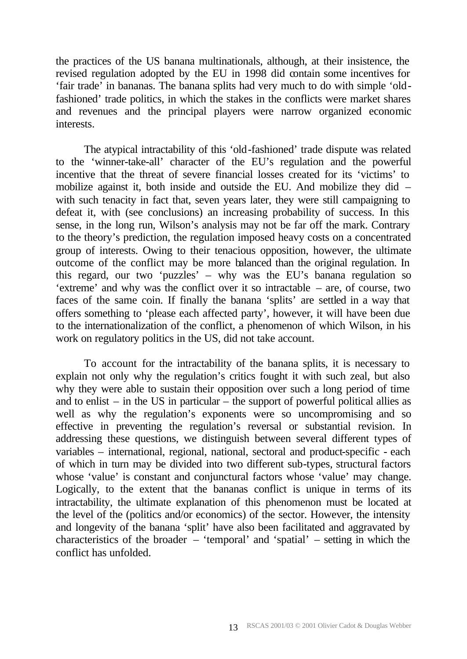the practices of the US banana multinationals, although, at their insistence, the revised regulation adopted by the EU in 1998 did contain some incentives for 'fair trade' in bananas. The banana splits had very much to do with simple 'oldfashioned' trade politics, in which the stakes in the conflicts were market shares and revenues and the principal players were narrow organized economic interests.

The atypical intractability of this 'old-fashioned' trade dispute was related to the 'winner-take-all' character of the EU's regulation and the powerful incentive that the threat of severe financial losses created for its 'victims' to mobilize against it, both inside and outside the EU. And mobilize they did – with such tenacity in fact that, seven years later, they were still campaigning to defeat it, with (see conclusions) an increasing probability of success. In this sense, in the long run, Wilson's analysis may not be far off the mark. Contrary to the theory's prediction, the regulation imposed heavy costs on a concentrated group of interests. Owing to their tenacious opposition, however, the ultimate outcome of the conflict may be more balanced than the original regulation. In this regard, our two 'puzzles' – why was the EU's banana regulation so 'extreme' and why was the conflict over it so intractable – are, of course, two faces of the same coin. If finally the banana 'splits' are settled in a way that offers something to 'please each affected party', however, it will have been due to the internationalization of the conflict, a phenomenon of which Wilson, in his work on regulatory politics in the US, did not take account.

To account for the intractability of the banana splits, it is necessary to explain not only why the regulation's critics fought it with such zeal, but also why they were able to sustain their opposition over such a long period of time and to enlist – in the US in particular – the support of powerful political allies as well as why the regulation's exponents were so uncompromising and so effective in preventing the regulation's reversal or substantial revision. In addressing these questions, we distinguish between several different types of variables – international, regional, national, sectoral and product-specific - each of which in turn may be divided into two different sub-types, structural factors whose 'value' is constant and conjunctural factors whose 'value' may change. Logically, to the extent that the bananas conflict is unique in terms of its intractability, the ultimate explanation of this phenomenon must be located at the level of the (politics and/or economics) of the sector. However, the intensity and longevity of the banana 'split' have also been facilitated and aggravated by characteristics of the broader – 'temporal' and 'spatial' – setting in which the conflict has unfolded.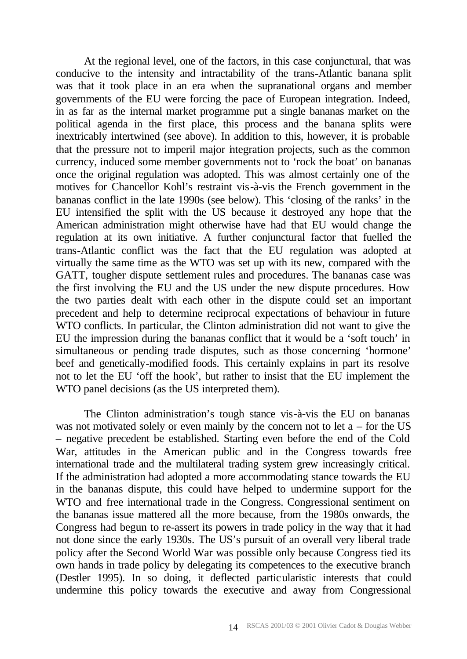At the regional level, one of the factors, in this case conjunctural, that was conducive to the intensity and intractability of the trans-Atlantic banana split was that it took place in an era when the supranational organs and member governments of the EU were forcing the pace of European integration. Indeed, in as far as the internal market programme put a single bananas market on the political agenda in the first place, this process and the banana splits were inextricably intertwined (see above). In addition to this, however, it is probable that the pressure not to imperil major integration projects, such as the common currency, induced some member governments not to 'rock the boat' on bananas once the original regulation was adopted. This was almost certainly one of the motives for Chancellor Kohl's restraint vis-à-vis the French government in the bananas conflict in the late 1990s (see below). This 'closing of the ranks' in the EU intensified the split with the US because it destroyed any hope that the American administration might otherwise have had that EU would change the regulation at its own initiative. A further conjunctural factor that fuelled the trans-Atlantic conflict was the fact that the EU regulation was adopted at virtually the same time as the WTO was set up with its new, compared with the GATT, tougher dispute settlement rules and procedures. The bananas case was the first involving the EU and the US under the new dispute procedures. How the two parties dealt with each other in the dispute could set an important precedent and help to determine reciprocal expectations of behaviour in future WTO conflicts. In particular, the Clinton administration did not want to give the EU the impression during the bananas conflict that it would be a 'soft touch' in simultaneous or pending trade disputes, such as those concerning 'hormone' beef and genetically-modified foods. This certainly explains in part its resolve not to let the EU 'off the hook', but rather to insist that the EU implement the WTO panel decisions (as the US interpreted them).

The Clinton administration's tough stance vis-à-vis the EU on bananas was not motivated solely or even mainly by the concern not to let  $a -$  for the US – negative precedent be established. Starting even before the end of the Cold War, attitudes in the American public and in the Congress towards free international trade and the multilateral trading system grew increasingly critical. If the administration had adopted a more accommodating stance towards the EU in the bananas dispute, this could have helped to undermine support for the WTO and free international trade in the Congress. Congressional sentiment on the bananas issue mattered all the more because, from the 1980s onwards, the Congress had begun to re-assert its powers in trade policy in the way that it had not done since the early 1930s. The US's pursuit of an overall very liberal trade policy after the Second World War was possible only because Congress tied its own hands in trade policy by delegating its competences to the executive branch (Destler 1995). In so doing, it deflected particularistic interests that could undermine this policy towards the executive and away from Congressional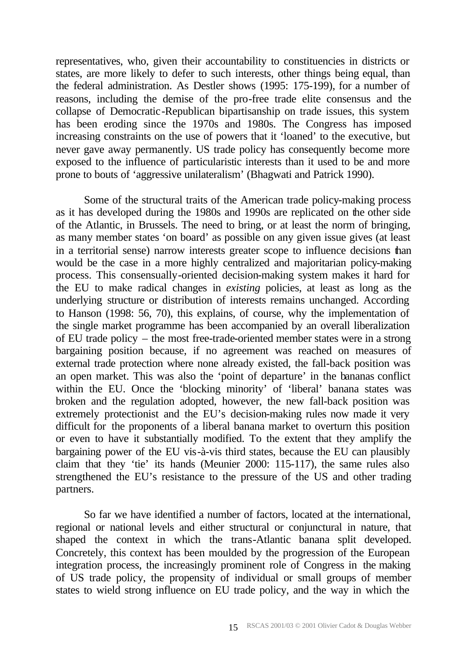representatives, who, given their accountability to constituencies in districts or states, are more likely to defer to such interests, other things being equal, than the federal administration. As Destler shows (1995: 175-199), for a number of reasons, including the demise of the pro-free trade elite consensus and the collapse of Democratic-Republican bipartisanship on trade issues, this system has been eroding since the 1970s and 1980s. The Congress has imposed increasing constraints on the use of powers that it 'loaned' to the executive, but never gave away permanently. US trade policy has consequently become more exposed to the influence of particularistic interests than it used to be and more prone to bouts of 'aggressive unilateralism' (Bhagwati and Patrick 1990).

Some of the structural traits of the American trade policy-making process as it has developed during the 1980s and 1990s are replicated on the other side of the Atlantic, in Brussels. The need to bring, or at least the norm of bringing, as many member states 'on board' as possible on any given issue gives (at least in a territorial sense) narrow interests greater scope to influence decisions than would be the case in a more highly centralized and majoritarian policy-making process. This consensually-oriented decision-making system makes it hard for the EU to make radical changes in *existing* policies, at least as long as the underlying structure or distribution of interests remains unchanged. According to Hanson (1998: 56, 70), this explains, of course, why the implementation of the single market programme has been accompanied by an overall liberalization of EU trade policy – the most free-trade-oriented member states were in a strong bargaining position because, if no agreement was reached on measures of external trade protection where none already existed, the fall-back position was an open market. This was also the 'point of departure' in the bananas conflict within the EU. Once the 'blocking minority' of 'liberal' banana states was broken and the regulation adopted, however, the new fall-back position was extremely protectionist and the EU's decision-making rules now made it very difficult for the proponents of a liberal banana market to overturn this position or even to have it substantially modified. To the extent that they amplify the bargaining power of the EU vis-à-vis third states, because the EU can plausibly claim that they 'tie' its hands (Meunier 2000: 115-117), the same rules also strengthened the EU's resistance to the pressure of the US and other trading partners.

So far we have identified a number of factors, located at the international, regional or national levels and either structural or conjunctural in nature, that shaped the context in which the trans-Atlantic banana split developed. Concretely, this context has been moulded by the progression of the European integration process, the increasingly prominent role of Congress in the making of US trade policy, the propensity of individual or small groups of member states to wield strong influence on EU trade policy, and the way in which the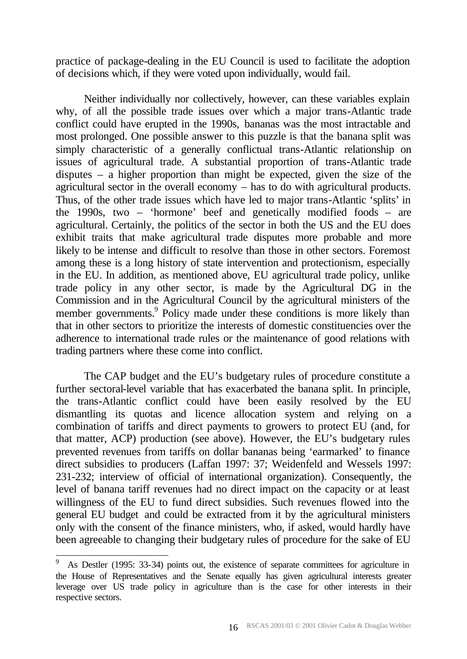practice of package-dealing in the EU Council is used to facilitate the adoption of decisions which, if they were voted upon individually, would fail.

Neither individually nor collectively, however, can these variables explain why, of all the possible trade issues over which a major trans-Atlantic trade conflict could have erupted in the 1990s, bananas was the most intractable and most prolonged. One possible answer to this puzzle is that the banana split was simply characteristic of a generally conflictual trans-Atlantic relationship on issues of agricultural trade. A substantial proportion of trans-Atlantic trade disputes – a higher proportion than might be expected, given the size of the agricultural sector in the overall economy – has to do with agricultural products. Thus, of the other trade issues which have led to major trans-Atlantic 'splits' in the 1990s, two – 'hormone' beef and genetically modified foods – are agricultural. Certainly, the politics of the sector in both the US and the EU does exhibit traits that make agricultural trade disputes more probable and more likely to be intense and difficult to resolve than those in other sectors. Foremost among these is a long history of state intervention and protectionism, especially in the EU. In addition, as mentioned above, EU agricultural trade policy, unlike trade policy in any other sector, is made by the Agricultural DG in the Commission and in the Agricultural Council by the agricultural ministers of the member governments.<sup>9</sup> Policy made under these conditions is more likely than that in other sectors to prioritize the interests of domestic constituencies over the adherence to international trade rules or the maintenance of good relations with trading partners where these come into conflict.

The CAP budget and the EU's budgetary rules of procedure constitute a further sectoral-level variable that has exacerbated the banana split. In principle, the trans-Atlantic conflict could have been easily resolved by the EU dismantling its quotas and licence allocation system and relying on a combination of tariffs and direct payments to growers to protect EU (and, for that matter, ACP) production (see above). However, the EU's budgetary rules prevented revenues from tariffs on dollar bananas being 'earmarked' to finance direct subsidies to producers (Laffan 1997: 37; Weidenfeld and Wessels 1997: 231-232; interview of official of international organization). Consequently, the level of banana tariff revenues had no direct impact on the capacity or at least willingness of the EU to fund direct subsidies. Such revenues flowed into the general EU budget and could be extracted from it by the agricultural ministers only with the consent of the finance ministers, who, if asked, would hardly have been agreeable to changing their budgetary rules of procedure for the sake of EU

<sup>9</sup> As Destler (1995: 33-34) points out, the existence of separate committees for agriculture in the House of Representatives and the Senate equally has given agricultural interests greater leverage over US trade policy in agriculture than is the case for other interests in their respective sectors.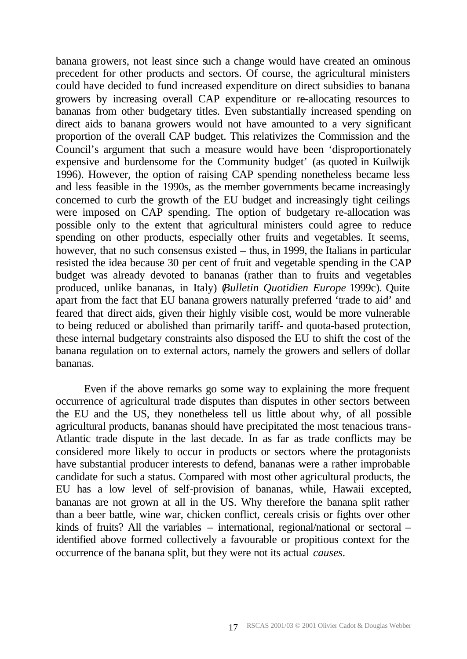banana growers, not least since such a change would have created an ominous precedent for other products and sectors. Of course, the agricultural ministers could have decided to fund increased expenditure on direct subsidies to banana growers by increasing overall CAP expenditure or re-allocating resources to bananas from other budgetary titles. Even substantially increased spending on direct aids to banana growers would not have amounted to a very significant proportion of the overall CAP budget. This relativizes the Commission and the Council's argument that such a measure would have been 'disproportionately expensive and burdensome for the Community budget' (as quoted in Kuilwijk 1996). However, the option of raising CAP spending nonetheless became less and less feasible in the 1990s, as the member governments became increasingly concerned to curb the growth of the EU budget and increasingly tight ceilings were imposed on CAP spending. The option of budgetary re-allocation was possible only to the extent that agricultural ministers could agree to reduce spending on other products, especially other fruits and vegetables. It seems, however, that no such consensus existed – thus, in 1999, the Italians in particular resisted the idea because 30 per cent of fruit and vegetable spending in the CAP budget was already devoted to bananas (rather than to fruits and vegetables produced, unlike bananas, in Italy) (*Bulletin Quotidien Europe* 1999c). Quite apart from the fact that EU banana growers naturally preferred 'trade to aid' and feared that direct aids, given their highly visible cost, would be more vulnerable to being reduced or abolished than primarily tariff- and quota-based protection, these internal budgetary constraints also disposed the EU to shift the cost of the banana regulation on to external actors, namely the growers and sellers of dollar bananas.

Even if the above remarks go some way to explaining the more frequent occurrence of agricultural trade disputes than disputes in other sectors between the EU and the US, they nonetheless tell us little about why, of all possible agricultural products, bananas should have precipitated the most tenacious trans-Atlantic trade dispute in the last decade. In as far as trade conflicts may be considered more likely to occur in products or sectors where the protagonists have substantial producer interests to defend, bananas were a rather improbable candidate for such a status. Compared with most other agricultural products, the EU has a low level of self-provision of bananas, while, Hawaii excepted, bananas are not grown at all in the US. Why therefore the banana split rather than a beer battle, wine war, chicken conflict, cereals crisis or fights over other kinds of fruits? All the variables – international, regional/national or sectoral – identified above formed collectively a favourable or propitious context for the occurrence of the banana split, but they were not its actual *causes*.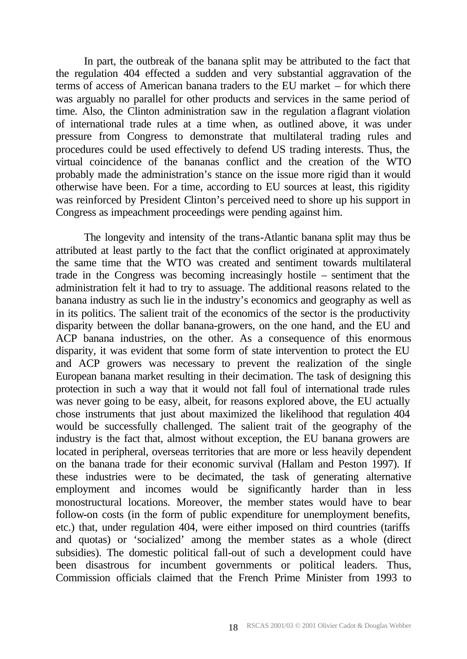In part, the outbreak of the banana split may be attributed to the fact that the regulation 404 effected a sudden and very substantial aggravation of the terms of access of American banana traders to the EU market – for which there was arguably no parallel for other products and services in the same period of time. Also, the Clinton administration saw in the regulation a flagrant violation of international trade rules at a time when, as outlined above, it was under pressure from Congress to demonstrate that multilateral trading rules and procedures could be used effectively to defend US trading interests. Thus, the virtual coincidence of the bananas conflict and the creation of the WTO probably made the administration's stance on the issue more rigid than it would otherwise have been. For a time, according to EU sources at least, this rigidity was reinforced by President Clinton's perceived need to shore up his support in Congress as impeachment proceedings were pending against him.

The longevity and intensity of the trans-Atlantic banana split may thus be attributed at least partly to the fact that the conflict originated at approximately the same time that the WTO was created and sentiment towards multilateral trade in the Congress was becoming increasingly hostile – sentiment that the administration felt it had to try to assuage. The additional reasons related to the banana industry as such lie in the industry's economics and geography as well as in its politics. The salient trait of the economics of the sector is the productivity disparity between the dollar banana-growers, on the one hand, and the EU and ACP banana industries, on the other. As a consequence of this enormous disparity, it was evident that some form of state intervention to protect the EU and ACP growers was necessary to prevent the realization of the single European banana market resulting in their decimation. The task of designing this protection in such a way that it would not fall foul of international trade rules was never going to be easy, albeit, for reasons explored above, the EU actually chose instruments that just about maximized the likelihood that regulation 404 would be successfully challenged. The salient trait of the geography of the industry is the fact that, almost without exception, the EU banana growers are located in peripheral, overseas territories that are more or less heavily dependent on the banana trade for their economic survival (Hallam and Peston 1997). If these industries were to be decimated, the task of generating alternative employment and incomes would be significantly harder than in less monostructural locations. Moreover, the member states would have to bear follow-on costs (in the form of public expenditure for unemployment benefits, etc.) that, under regulation 404, were either imposed on third countries (tariffs and quotas) or 'socialized' among the member states as a whole (direct subsidies). The domestic political fall-out of such a development could have been disastrous for incumbent governments or political leaders. Thus, Commission officials claimed that the French Prime Minister from 1993 to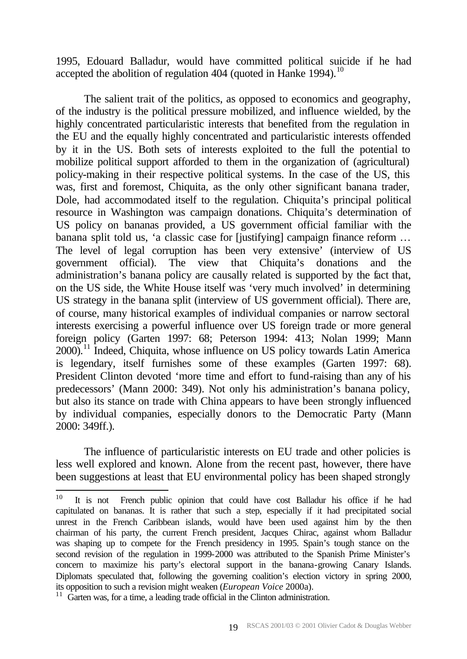1995, Edouard Balladur, would have committed political suicide if he had accepted the abolition of regulation 404 (quoted in Hanke 1994).<sup>10</sup>

The salient trait of the politics, as opposed to economics and geography, of the industry is the political pressure mobilized, and influence wielded, by the highly concentrated particularistic interests that benefited from the regulation in the EU and the equally highly concentrated and particularistic interests offended by it in the US. Both sets of interests exploited to the full the potential to mobilize political support afforded to them in the organization of (agricultural) policy-making in their respective political systems. In the case of the US, this was, first and foremost, Chiquita, as the only other significant banana trader, Dole, had accommodated itself to the regulation. Chiquita's principal political resource in Washington was campaign donations. Chiquita's determination of US policy on bananas provided, a US government official familiar with the banana split told us, 'a classic case for [justifying] campaign finance reform … The level of legal corruption has been very extensive' (interview of US government official). The view that Chiquita's donations and the administration's banana policy are causally related is supported by the fact that, on the US side, the White House itself was 'very much involved' in determining US strategy in the banana split (interview of US government official). There are, of course, many historical examples of individual companies or narrow sectoral interests exercising a powerful influence over US foreign trade or more general foreign policy (Garten 1997: 68; Peterson 1994: 413; Nolan 1999; Mann  $2000$ <sup>11</sup>. Indeed, Chiquita, whose influence on US policy towards Latin America is legendary, itself furnishes some of these examples (Garten 1997: 68). President Clinton devoted 'more time and effort to fund-raising than any of his predecessors' (Mann 2000: 349). Not only his administration's banana policy, but also its stance on trade with China appears to have been strongly influenced by individual companies, especially donors to the Democratic Party (Mann 2000: 349ff.).

The influence of particularistic interests on EU trade and other policies is less well explored and known. Alone from the recent past, however, there have been suggestions at least that EU environmental policy has been shaped strongly

<sup>10</sup> It is not French public opinion that could have cost Balladur his office if he had capitulated on bananas. It is rather that such a step, especially if it had precipitated social unrest in the French Caribbean islands, would have been used against him by the then chairman of his party, the current French president, Jacques Chirac, against whom Balladur was shaping up to compete for the French presidency in 1995. Spain's tough stance on the second revision of the regulation in 1999-2000 was attributed to the Spanish Prime Minister's concern to maximize his party's electoral support in the banana-growing Canary Islands. Diplomats speculated that, following the governing coalition's election victory in spring 2000, its opposition to such a revision might weaken (*European Voice* 2000a).

 $11$  Garten was, for a time, a leading trade official in the Clinton administration.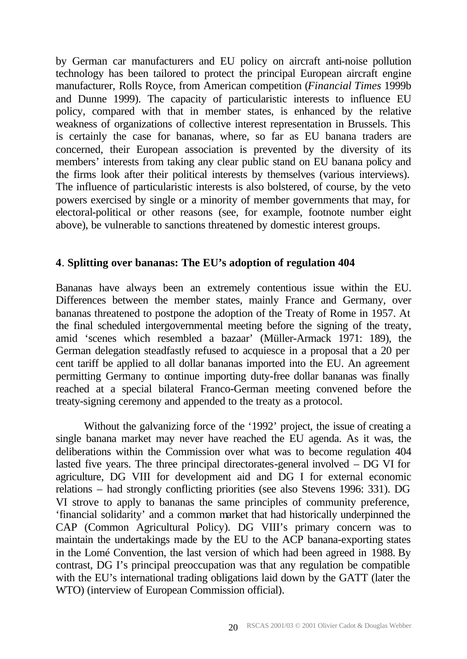by German car manufacturers and EU policy on aircraft anti-noise pollution technology has been tailored to protect the principal European aircraft engine manufacturer, Rolls Royce, from American competition (*Financial Times* 1999b and Dunne 1999). The capacity of particularistic interests to influence EU policy, compared with that in member states, is enhanced by the relative weakness of organizations of collective interest representation in Brussels. This is certainly the case for bananas, where, so far as EU banana traders are concerned, their European association is prevented by the diversity of its members' interests from taking any clear public stand on EU banana policy and the firms look after their political interests by themselves (various interviews). The influence of particularistic interests is also bolstered, of course, by the veto powers exercised by single or a minority of member governments that may, for electoral-political or other reasons (see, for example, footnote number eight above), be vulnerable to sanctions threatened by domestic interest groups.

# **4**. **Splitting over bananas: The EU's adoption of regulation 404**

Bananas have always been an extremely contentious issue within the EU. Differences between the member states, mainly France and Germany, over bananas threatened to postpone the adoption of the Treaty of Rome in 1957. At the final scheduled intergovernmental meeting before the signing of the treaty, amid 'scenes which resembled a bazaar' (Müller-Armack 1971: 189), the German delegation steadfastly refused to acquiesce in a proposal that a 20 per cent tariff be applied to all dollar bananas imported into the EU. An agreement permitting Germany to continue importing duty-free dollar bananas was finally reached at a special bilateral Franco-German meeting convened before the treaty-signing ceremony and appended to the treaty as a protocol.

Without the galvanizing force of the '1992' project, the issue of creating a single banana market may never have reached the EU agenda. As it was, the deliberations within the Commission over what was to become regulation 404 lasted five years. The three principal directorates-general involved – DG VI for agriculture, DG VIII for development aid and DG I for external economic relations – had strongly conflicting priorities (see also Stevens 1996: 331). DG VI strove to apply to bananas the same principles of community preference, 'financial solidarity' and a common market that had historically underpinned the CAP (Common Agricultural Policy). DG VIII's primary concern was to maintain the undertakings made by the EU to the ACP banana-exporting states in the Lomé Convention, the last version of which had been agreed in 1988. By contrast, DG I's principal preoccupation was that any regulation be compatible with the EU's international trading obligations laid down by the GATT (later the WTO) (interview of European Commission official).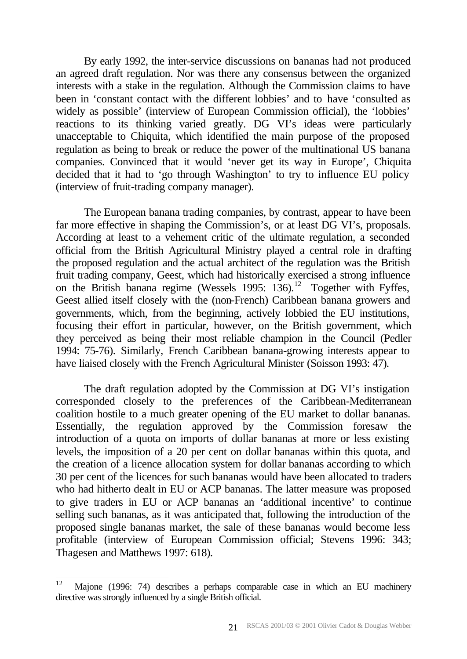By early 1992, the inter-service discussions on bananas had not produced an agreed draft regulation. Nor was there any consensus between the organized interests with a stake in the regulation. Although the Commission claims to have been in 'constant contact with the different lobbies' and to have 'consulted as widely as possible' (interview of European Commission official), the 'lobbies' reactions to its thinking varied greatly. DG VI's ideas were particularly unacceptable to Chiquita, which identified the main purpose of the proposed regulation as being to break or reduce the power of the multinational US banana companies. Convinced that it would 'never get its way in Europe', Chiquita decided that it had to 'go through Washington' to try to influence EU policy (interview of fruit-trading company manager).

The European banana trading companies, by contrast, appear to have been far more effective in shaping the Commission's, or at least DG VI's, proposals. According at least to a vehement critic of the ultimate regulation, a seconded official from the British Agricultural Ministry played a central role in drafting the proposed regulation and the actual architect of the regulation was the British fruit trading company, Geest, which had historically exercised a strong influence on the British banana regime (Wessels  $1995: 136$ ).<sup>12</sup> Together with Fyffes, Geest allied itself closely with the (non-French) Caribbean banana growers and governments, which, from the beginning, actively lobbied the EU institutions, focusing their effort in particular, however, on the British government, which they perceived as being their most reliable champion in the Council (Pedler 1994: 75-76). Similarly, French Caribbean banana-growing interests appear to have liaised closely with the French Agricultural Minister (Soisson 1993: 47).

The draft regulation adopted by the Commission at DG VI's instigation corresponded closely to the preferences of the Caribbean-Mediterranean coalition hostile to a much greater opening of the EU market to dollar bananas. Essentially, the regulation approved by the Commission foresaw the introduction of a quota on imports of dollar bananas at more or less existing levels, the imposition of a 20 per cent on dollar bananas within this quota, and the creation of a licence allocation system for dollar bananas according to which 30 per cent of the licences for such bananas would have been allocated to traders who had hitherto dealt in EU or ACP bananas. The latter measure was proposed to give traders in EU or ACP bananas an 'additional incentive' to continue selling such bananas, as it was anticipated that, following the introduction of the proposed single bananas market, the sale of these bananas would become less profitable (interview of European Commission official; Stevens 1996: 343; Thagesen and Matthews 1997: 618).

 $12$ <sup>12</sup> Majone (1996: 74) describes a perhaps comparable case in which an EU machinery directive was strongly influenced by a single British official.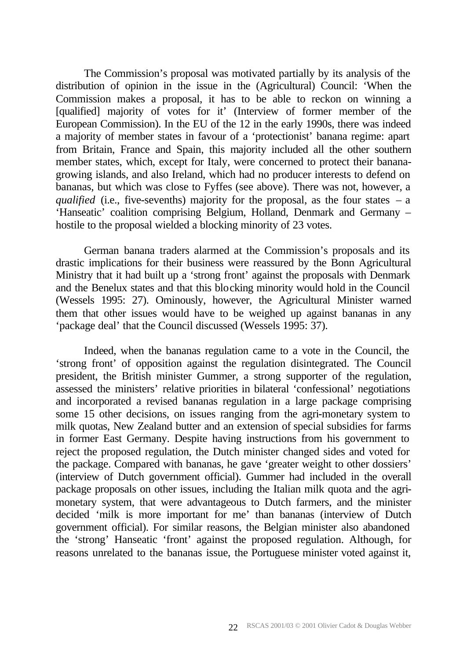The Commission's proposal was motivated partially by its analysis of the distribution of opinion in the issue in the (Agricultural) Council: 'When the Commission makes a proposal, it has to be able to reckon on winning a [qualified] majority of votes for it' (Interview of former member of the European Commission). In the EU of the 12 in the early 1990s, there was indeed a majority of member states in favour of a 'protectionist' banana regime: apart from Britain, France and Spain, this majority included all the other southern member states, which, except for Italy, were concerned to protect their bananagrowing islands, and also Ireland, which had no producer interests to defend on bananas, but which was close to Fyffes (see above). There was not, however, a *qualified* (i.e., five-sevenths) majority for the proposal, as the four states  $-$  a 'Hanseatic' coalition comprising Belgium, Holland, Denmark and Germany – hostile to the proposal wielded a blocking minority of 23 votes.

German banana traders alarmed at the Commission's proposals and its drastic implications for their business were reassured by the Bonn Agricultural Ministry that it had built up a 'strong front' against the proposals with Denmark and the Benelux states and that this blocking minority would hold in the Council (Wessels 1995: 27). Ominously, however, the Agricultural Minister warned them that other issues would have to be weighed up against bananas in any 'package deal' that the Council discussed (Wessels 1995: 37).

Indeed, when the bananas regulation came to a vote in the Council, the 'strong front' of opposition against the regulation disintegrated. The Council president, the British minister Gummer, a strong supporter of the regulation, assessed the ministers' relative priorities in bilateral 'confessional' negotiations and incorporated a revised bananas regulation in a large package comprising some 15 other decisions, on issues ranging from the agri-monetary system to milk quotas, New Zealand butter and an extension of special subsidies for farms in former East Germany. Despite having instructions from his government to reject the proposed regulation, the Dutch minister changed sides and voted for the package. Compared with bananas, he gave 'greater weight to other dossiers' (interview of Dutch government official). Gummer had included in the overall package proposals on other issues, including the Italian milk quota and the agrimonetary system, that were advantageous to Dutch farmers, and the minister decided 'milk is more important for me' than bananas (interview of Dutch government official). For similar reasons, the Belgian minister also abandoned the 'strong' Hanseatic 'front' against the proposed regulation. Although, for reasons unrelated to the bananas issue, the Portuguese minister voted against it,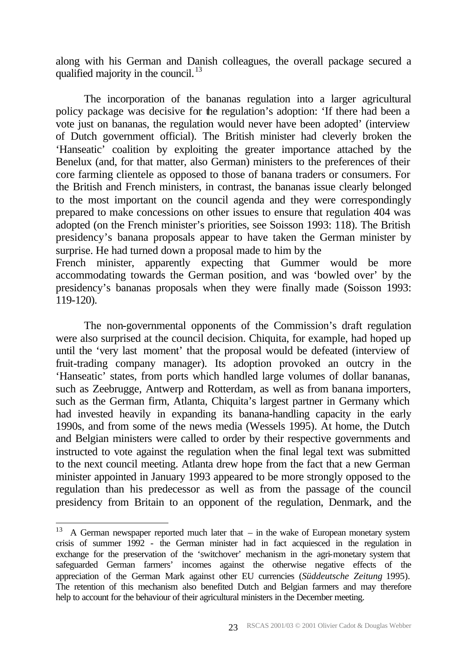along with his German and Danish colleagues, the overall package secured a qualified majority in the council. $^{13}$ 

The incorporation of the bananas regulation into a larger agricultural policy package was decisive for the regulation's adoption: 'If there had been a vote just on bananas, the regulation would never have been adopted' (interview of Dutch government official). The British minister had cleverly broken the 'Hanseatic' coalition by exploiting the greater importance attached by the Benelux (and, for that matter, also German) ministers to the preferences of their core farming clientele as opposed to those of banana traders or consumers. For the British and French ministers, in contrast, the bananas issue clearly belonged to the most important on the council agenda and they were correspondingly prepared to make concessions on other issues to ensure that regulation 404 was adopted (on the French minister's priorities, see Soisson 1993: 118). The British presidency's banana proposals appear to have taken the German minister by surprise. He had turned down a proposal made to him by the French minister, apparently expecting that Gummer would be more accommodating towards the German position, and was 'bowled over' by the

presidency's bananas proposals when they were finally made (Soisson 1993: 119-120).

The non-governmental opponents of the Commission's draft regulation were also surprised at the council decision. Chiquita, for example, had hoped up until the 'very last moment' that the proposal would be defeated (interview of fruit-trading company manager). Its adoption provoked an outcry in the 'Hanseatic' states, from ports which handled large volumes of dollar bananas, such as Zeebrugge, Antwerp and Rotterdam, as well as from banana importers, such as the German firm, Atlanta, Chiquita's largest partner in Germany which had invested heavily in expanding its banana-handling capacity in the early 1990s, and from some of the news media (Wessels 1995). At home, the Dutch and Belgian ministers were called to order by their respective governments and instructed to vote against the regulation when the final legal text was submitted to the next council meeting. Atlanta drew hope from the fact that a new German minister appointed in January 1993 appeared to be more strongly opposed to the regulation than his predecessor as well as from the passage of the council presidency from Britain to an opponent of the regulation, Denmark, and the

<sup>13</sup> A German newspaper reported much later that  $-$  in the wake of European monetary system crisis of summer 1992 - the German minister had in fact acquiesced in the regulation in exchange for the preservation of the 'switchover' mechanism in the agri-monetary system that safeguarded German farmers' incomes against the otherwise negative effects of the appreciation of the German Mark against other EU currencies (*Süddeutsche Zeitung* 1995). The retention of this mechanism also benefited Dutch and Belgian farmers and may therefore help to account for the behaviour of their agricultural ministers in the December meeting.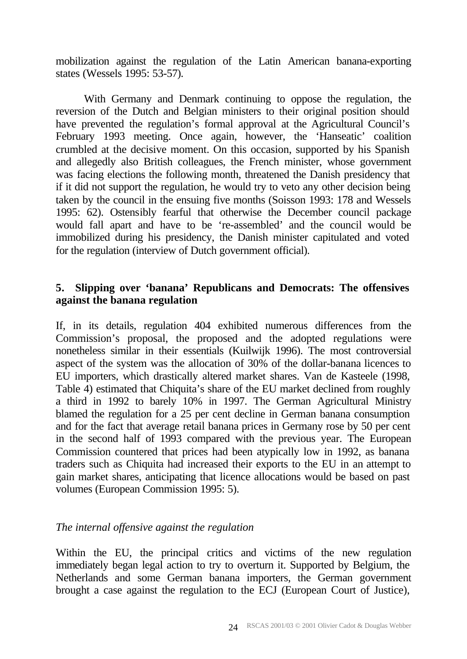mobilization against the regulation of the Latin American banana-exporting states (Wessels 1995: 53-57).

With Germany and Denmark continuing to oppose the regulation, the reversion of the Dutch and Belgian ministers to their original position should have prevented the regulation's formal approval at the Agricultural Council's February 1993 meeting. Once again, however, the 'Hanseatic' coalition crumbled at the decisive moment. On this occasion, supported by his Spanish and allegedly also British colleagues, the French minister, whose government was facing elections the following month, threatened the Danish presidency that if it did not support the regulation, he would try to veto any other decision being taken by the council in the ensuing five months (Soisson 1993: 178 and Wessels 1995: 62). Ostensibly fearful that otherwise the December council package would fall apart and have to be 're-assembled' and the council would be immobilized during his presidency, the Danish minister capitulated and voted for the regulation (interview of Dutch government official).

# **5. Slipping over 'banana' Republicans and Democrats: The offensives against the banana regulation**

If, in its details, regulation 404 exhibited numerous differences from the Commission's proposal, the proposed and the adopted regulations were nonetheless similar in their essentials (Kuilwijk 1996). The most controversial aspect of the system was the allocation of 30% of the dollar-banana licences to EU importers, which drastically altered market shares. Van de Kasteele (1998, Table 4) estimated that Chiquita's share of the EU market declined from roughly a third in 1992 to barely 10% in 1997. The German Agricultural Ministry blamed the regulation for a 25 per cent decline in German banana consumption and for the fact that average retail banana prices in Germany rose by 50 per cent in the second half of 1993 compared with the previous year. The European Commission countered that prices had been atypically low in 1992, as banana traders such as Chiquita had increased their exports to the EU in an attempt to gain market shares, anticipating that licence allocations would be based on past volumes (European Commission 1995: 5).

## *The internal offensive against the regulation*

Within the EU, the principal critics and victims of the new regulation immediately began legal action to try to overturn it. Supported by Belgium, the Netherlands and some German banana importers, the German government brought a case against the regulation to the ECJ (European Court of Justice),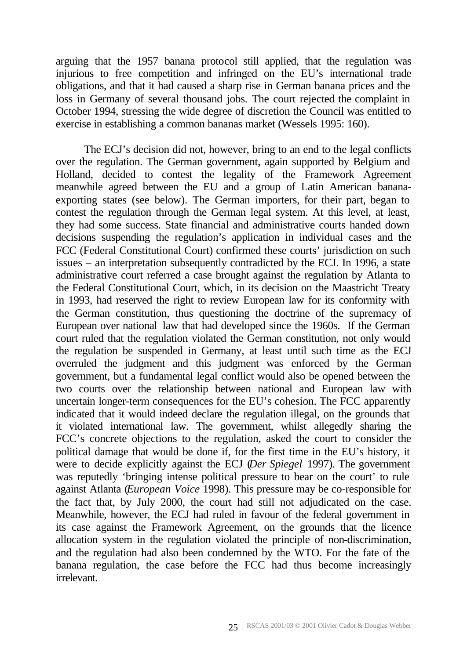arguing that the 1957 banana protocol still applied, that the regulation was injurious to free competition and infringed on the EU's international trade obligations, and that it had caused a sharp rise in German banana prices and the loss in Germany of several thousand jobs. The court rejected the complaint in October 1994, stressing the wide degree of discretion the Council was entitled to exercise in establishing a common bananas market (Wessels 1995: 160).

The ECJ's decision did not, however, bring to an end to the legal conflicts over the regulation. The German government, again supported by Belgium and Holland, decided to contest the legality of the Framework Agreement meanwhile agreed between the EU and a group of Latin American bananaexporting states (see below). The German importers, for their part, began to contest the regulation through the German legal system. At this level, at least, they had some success. State financial and administrative courts handed down decisions suspending the regulation's application in individual cases and the FCC (Federal Constitutional Court) confirmed these courts' jurisdiction on such issues – an interpretation subsequently contradicted by the ECJ. In 1996, a state administrative court referred a case brought against the regulation by Atlanta to the Federal Constitutional Court, which, in its decision on the Maastricht Treaty in 1993, had reserved the right to review European law for its conformity with the German constitution, thus questioning the doctrine of the supremacy of European over national law that had developed since the 1960s. If the German court ruled that the regulation violated the German constitution, not only would the regulation be suspended in Germany, at least until such time as the ECJ overruled the judgment and this judgment was enforced by the German government, but a fundamental legal conflict would also be opened between the two courts over the relationship between national and European law with uncertain longer-term consequences for the EU's cohesion. The FCC apparently indicated that it would indeed declare the regulation illegal, on the grounds that it violated international law. The government, whilst allegedly sharing the FCC's concrete objections to the regulation, asked the court to consider the political damage that would be done if, for the first time in the EU's history, it were to decide explicitly against the ECJ (*Der Spiegel* 1997). The government was reputedly 'bringing intense political pressure to bear on the court' to rule against Atlanta (*European Voice* 1998). This pressure may be co-responsible for the fact that, by July 2000, the court had still not adjudicated on the case. Meanwhile, however, the ECJ had ruled in favour of the federal government in its case against the Framework Agreement, on the grounds that the licence allocation system in the regulation violated the principle of non-discrimination, and the regulation had also been condemned by the WTO. For the fate of the banana regulation, the case before the FCC had thus become increasingly irrelevant.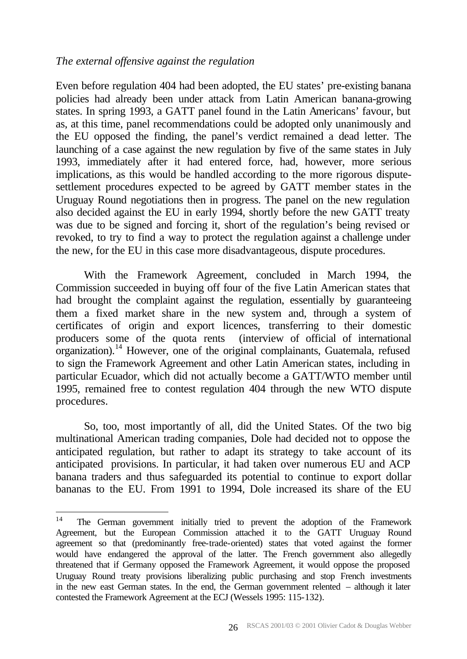#### *The external offensive against the regulation*

Even before regulation 404 had been adopted, the EU states' pre-existing banana policies had already been under attack from Latin American banana-growing states. In spring 1993, a GATT panel found in the Latin Americans' favour, but as, at this time, panel recommendations could be adopted only unanimously and the EU opposed the finding, the panel's verdict remained a dead letter. The launching of a case against the new regulation by five of the same states in July 1993, immediately after it had entered force, had, however, more serious implications, as this would be handled according to the more rigorous disputesettlement procedures expected to be agreed by GATT member states in the Uruguay Round negotiations then in progress. The panel on the new regulation also decided against the EU in early 1994, shortly before the new GATT treaty was due to be signed and forcing it, short of the regulation's being revised or revoked, to try to find a way to protect the regulation against a challenge under the new, for the EU in this case more disadvantageous, dispute procedures.

With the Framework Agreement, concluded in March 1994, the Commission succeeded in buying off four of the five Latin American states that had brought the complaint against the regulation, essentially by guaranteeing them a fixed market share in the new system and, through a system of certificates of origin and export licences, transferring to their domestic producers some of the quota rents (interview of official of international  $\alpha$ organization).<sup>14</sup> However, one of the original complainants, Guatemala, refused to sign the Framework Agreement and other Latin American states, including in particular Ecuador, which did not actually become a GATT/WTO member until 1995, remained free to contest regulation 404 through the new WTO dispute procedures.

So, too, most importantly of all, did the United States. Of the two big multinational American trading companies, Dole had decided not to oppose the anticipated regulation, but rather to adapt its strategy to take account of its anticipated provisions. In particular, it had taken over numerous EU and ACP banana traders and thus safeguarded its potential to continue to export dollar bananas to the EU. From 1991 to 1994, Dole increased its share of the EU

<sup>14</sup> The German government initially tried to prevent the adoption of the Framework Agreement, but the European Commission attached it to the GATT Uruguay Round agreement so that (predominantly free-trade-oriented) states that voted against the former would have endangered the approval of the latter. The French government also allegedly threatened that if Germany opposed the Framework Agreement, it would oppose the proposed Uruguay Round treaty provisions liberalizing public purchasing and stop French investments in the new east German states. In the end, the German government relented – although it later contested the Framework Agreement at the ECJ (Wessels 1995: 115-132).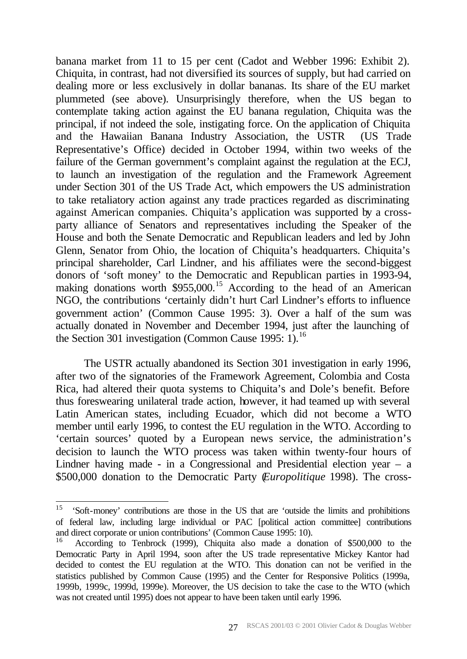banana market from 11 to 15 per cent (Cadot and Webber 1996: Exhibit 2). Chiquita, in contrast, had not diversified its sources of supply, but had carried on dealing more or less exclusively in dollar bananas. Its share of the EU market plummeted (see above). Unsurprisingly therefore, when the US began to contemplate taking action against the EU banana regulation, Chiquita was the principal, if not indeed the sole, instigating force. On the application of Chiquita and the Hawaiian Banana Industry Association, the USTR (US Trade Representative's Office) decided in October 1994, within two weeks of the failure of the German government's complaint against the regulation at the ECJ, to launch an investigation of the regulation and the Framework Agreement under Section 301 of the US Trade Act, which empowers the US administration to take retaliatory action against any trade practices regarded as discriminating against American companies. Chiquita's application was supported by a crossparty alliance of Senators and representatives including the Speaker of the House and both the Senate Democratic and Republican leaders and led by John Glenn, Senator from Ohio, the location of Chiquita's headquarters. Chiquita's principal shareholder, Carl Lindner, and his affiliates were the second-biggest donors of 'soft money' to the Democratic and Republican parties in 1993-94, making donations worth \$955,000.<sup>15</sup> According to the head of an American NGO, the contributions 'certainly didn't hurt Carl Lindner's efforts to influence government action' (Common Cause 1995: 3). Over a half of the sum was actually donated in November and December 1994, just after the launching of the Section 301 investigation (Common Cause 1995: 1).<sup>16</sup>

The USTR actually abandoned its Section 301 investigation in early 1996, after two of the signatories of the Framework Agreement, Colombia and Costa Rica, had altered their quota systems to Chiquita's and Dole's benefit. Before thus foreswearing unilateral trade action, however, it had teamed up with several Latin American states, including Ecuador, which did not become a WTO member until early 1996, to contest the EU regulation in the WTO. According to 'certain sources' quoted by a European news service, the administration's decision to launch the WTO process was taken within twenty-four hours of Lindner having made - in a Congressional and Presidential election year – a \$500,000 donation to the Democratic Party (*Europolitique* 1998). The cross-

<sup>15</sup> <sup>15</sup> 'Soft-money' contributions are those in the US that are 'outside the limits and prohibitions of federal law, including large individual or PAC [political action committee] contributions and direct corporate or union contributions' (Common Cause 1995: 10).

According to Tenbrock (1999), Chiquita also made a donation of \$500,000 to the Democratic Party in April 1994, soon after the US trade representative Mickey Kantor had decided to contest the EU regulation at the WTO. This donation can not be verified in the statistics published by Common Cause (1995) and the Center for Responsive Politics (1999a, 1999b, 1999c, 1999d, 1999e). Moreover, the US decision to take the case to the WTO (which was not created until 1995) does not appear to have been taken until early 1996.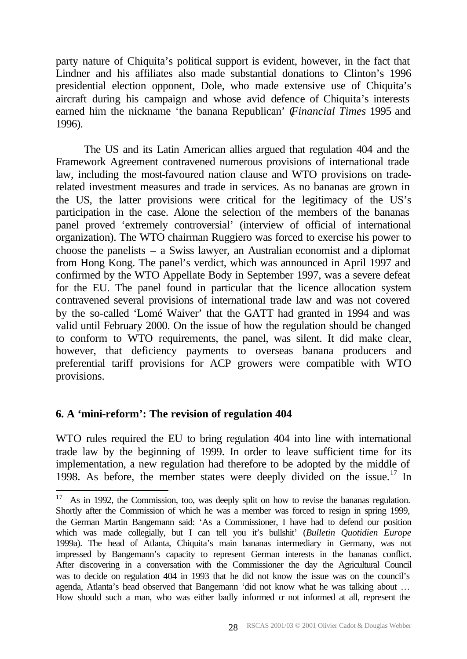party nature of Chiquita's political support is evident, however, in the fact that Lindner and his affiliates also made substantial donations to Clinton's 1996 presidential election opponent, Dole, who made extensive use of Chiquita's aircraft during his campaign and whose avid defence of Chiquita's interests earned him the nickname 'the banana Republican' (*Financial Times* 1995 and 1996).

The US and its Latin American allies argued that regulation 404 and the Framework Agreement contravened numerous provisions of international trade law, including the most-favoured nation clause and WTO provisions on traderelated investment measures and trade in services. As no bananas are grown in the US, the latter provisions were critical for the legitimacy of the US's participation in the case. Alone the selection of the members of the bananas panel proved 'extremely controversial' (interview of official of international organization). The WTO chairman Ruggiero was forced to exercise his power to choose the panelists – a Swiss lawyer, an Australian economist and a diplomat from Hong Kong. The panel's verdict, which was announced in April 1997 and confirmed by the WTO Appellate Body in September 1997, was a severe defeat for the EU. The panel found in particular that the licence allocation system contravened several provisions of international trade law and was not covered by the so-called 'Lomé Waiver' that the GATT had granted in 1994 and was valid until February 2000. On the issue of how the regulation should be changed to conform to WTO requirements, the panel, was silent. It did make clear, however, that deficiency payments to overseas banana producers and preferential tariff provisions for ACP growers were compatible with WTO provisions.

## **6. A 'mini-reform': The revision of regulation 404**

l

WTO rules required the EU to bring regulation 404 into line with international trade law by the beginning of 1999. In order to leave sufficient time for its implementation, a new regulation had therefore to be adopted by the middle of 1998. As before, the member states were deeply divided on the issue.<sup>17</sup> In

 $17$  As in 1992, the Commission, too, was deeply split on how to revise the bananas regulation. Shortly after the Commission of which he was a member was forced to resign in spring 1999, the German Martin Bangemann said: 'As a Commissioner, I have had to defend our position which was made collegially, but I can tell you it's bullshit' (*Bulletin Quotidien Europe* 1999a). The head of Atlanta, Chiquita's main bananas intermediary in Germany, was not impressed by Bangemann's capacity to represent German interests in the bananas conflict. After discovering in a conversation with the Commissioner the day the Agricultural Council was to decide on regulation 404 in 1993 that he did not know the issue was on the council's agenda, Atlanta's head observed that Bangemann 'did not know what he was talking about … How should such a man, who was either badly informed  $\sigma$  not informed at all, represent the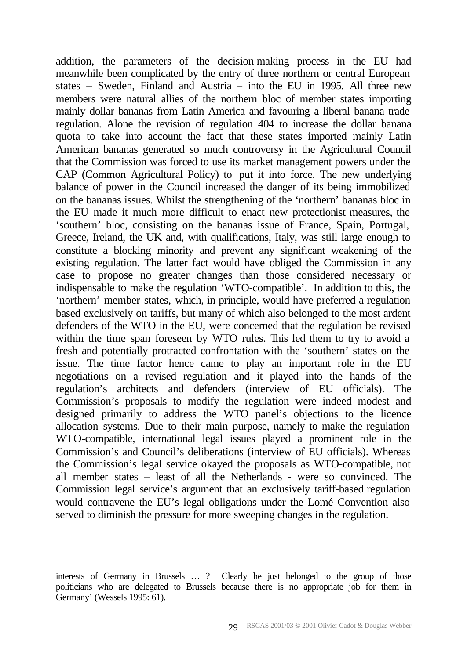addition, the parameters of the decision-making process in the EU had meanwhile been complicated by the entry of three northern or central European states – Sweden, Finland and Austria – into the EU in 1995. All three new members were natural allies of the northern bloc of member states importing mainly dollar bananas from Latin America and favouring a liberal banana trade regulation. Alone the revision of regulation 404 to increase the dollar banana quota to take into account the fact that these states imported mainly Latin American bananas generated so much controversy in the Agricultural Council that the Commission was forced to use its market management powers under the CAP (Common Agricultural Policy) to put it into force. The new underlying balance of power in the Council increased the danger of its being immobilized on the bananas issues. Whilst the strengthening of the 'northern' bananas bloc in the EU made it much more difficult to enact new protectionist measures, the 'southern' bloc, consisting on the bananas issue of France, Spain, Portugal, Greece, Ireland, the UK and, with qualifications, Italy, was still large enough to constitute a blocking minority and prevent any significant weakening of the existing regulation. The latter fact would have obliged the Commission in any case to propose no greater changes than those considered necessary or indispensable to make the regulation 'WTO-compatible'. In addition to this, the 'northern' member states, which, in principle, would have preferred a regulation based exclusively on tariffs, but many of which also belonged to the most ardent defenders of the WTO in the EU, were concerned that the regulation be revised within the time span foreseen by WTO rules. This led them to try to avoid a fresh and potentially protracted confrontation with the 'southern' states on the issue. The time factor hence came to play an important role in the EU negotiations on a revised regulation and it played into the hands of the regulation's architects and defenders (interview of EU officials). The Commission's proposals to modify the regulation were indeed modest and designed primarily to address the WTO panel's objections to the licence allocation systems. Due to their main purpose, namely to make the regulation WTO-compatible, international legal issues played a prominent role in the Commission's and Council's deliberations (interview of EU officials). Whereas the Commission's legal service okayed the proposals as WTO-compatible, not all member states – least of all the Netherlands - were so convinced. The Commission legal service's argument that an exclusively tariff-based regulation would contravene the EU's legal obligations under the Lomé Convention also served to diminish the pressure for more sweeping changes in the regulation.

interests of Germany in Brussels … ? Clearly he just belonged to the group of those politicians who are delegated to Brussels because there is no appropriate job for them in Germany' (Wessels 1995: 61).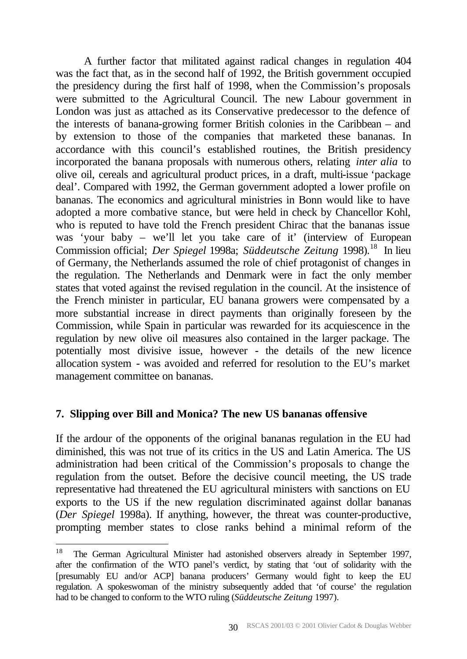A further factor that militated against radical changes in regulation 404 was the fact that, as in the second half of 1992, the British government occupied the presidency during the first half of 1998, when the Commission's proposals were submitted to the Agricultural Council. The new Labour government in London was just as attached as its Conservative predecessor to the defence of the interests of banana-growing former British colonies in the Caribbean – and by extension to those of the companies that marketed these bananas. In accordance with this council's established routines, the British presidency incorporated the banana proposals with numerous others, relating *inter alia* to olive oil, cereals and agricultural product prices, in a draft, multi-issue 'package deal'. Compared with 1992, the German government adopted a lower profile on bananas. The economics and agricultural ministries in Bonn would like to have adopted a more combative stance, but were held in check by Chancellor Kohl, who is reputed to have told the French president Chirac that the bananas issue was 'your baby – we'll let you take care of it' (interview of European Commission official; *Der Spiegel* 1998a; *Süddeutsche Zeitung* 1998).<sup>18</sup> In lieu of Germany, the Netherlands assumed the role of chief protagonist of changes in the regulation. The Netherlands and Denmark were in fact the only member states that voted against the revised regulation in the council. At the insistence of the French minister in particular, EU banana growers were compensated by a more substantial increase in direct payments than originally foreseen by the Commission, while Spain in particular was rewarded for its acquiescence in the regulation by new olive oil measures also contained in the larger package. The potentially most divisive issue, however - the details of the new licence allocation system - was avoided and referred for resolution to the EU's market management committee on bananas.

## **7. Slipping over Bill and Monica? The new US bananas offensive**

If the ardour of the opponents of the original bananas regulation in the EU had diminished, this was not true of its critics in the US and Latin America. The US administration had been critical of the Commission's proposals to change the regulation from the outset. Before the decisive council meeting, the US trade representative had threatened the EU agricultural ministers with sanctions on EU exports to the US if the new regulation discriminated against dollar bananas (*Der Spiegel* 1998a). If anything, however, the threat was counter-productive, prompting member states to close ranks behind a minimal reform of the

 $18\,$ <sup>18</sup> The German Agricultural Minister had astonished observers already in September 1997, after the confirmation of the WTO panel's verdict, by stating that 'out of solidarity with the [presumably EU and/or ACP] banana producers' Germany would fight to keep the EU regulation. A spokeswoman of the ministry subsequently added that 'of course' the regulation had to be changed to conform to the WTO ruling (*Süddeutsche Zeitung* 1997).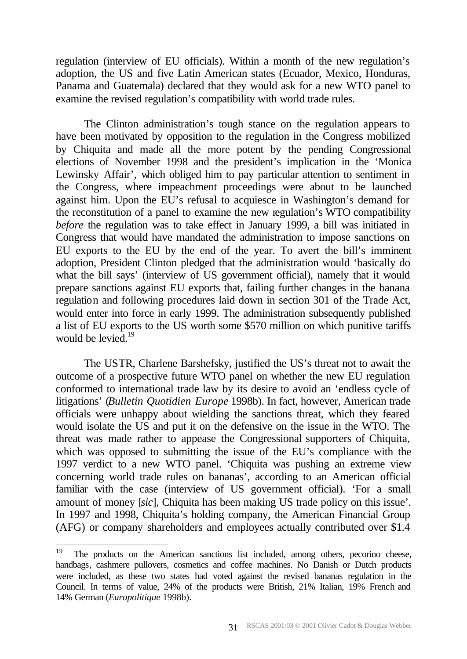regulation (interview of EU officials). Within a month of the new regulation's adoption, the US and five Latin American states (Ecuador, Mexico, Honduras, Panama and Guatemala) declared that they would ask for a new WTO panel to examine the revised regulation's compatibility with world trade rules.

The Clinton administration's tough stance on the regulation appears to have been motivated by opposition to the regulation in the Congress mobilized by Chiquita and made all the more potent by the pending Congressional elections of November 1998 and the president's implication in the 'Monica Lewinsky Affair', which obliged him to pay particular attention to sentiment in the Congress, where impeachment proceedings were about to be launched against him. Upon the EU's refusal to acquiesce in Washington's demand for the reconstitution of a panel to examine the new regulation's WTO compatibility *before* the regulation was to take effect in January 1999, a bill was initiated in Congress that would have mandated the administration to impose sanctions on EU exports to the EU by the end of the year. To avert the bill's imminent adoption, President Clinton pledged that the administration would 'basically do what the bill says' (interview of US government official), namely that it would prepare sanctions against EU exports that, failing further changes in the banana regulation and following procedures laid down in section 301 of the Trade Act, would enter into force in early 1999. The administration subsequently published a list of EU exports to the US worth some \$570 million on which punitive tariffs would be levied. $19$ 

The USTR, Charlene Barshefsky, justified the US's threat not to await the outcome of a prospective future WTO panel on whether the new EU regulation conformed to international trade law by its desire to avoid an 'endless cycle of litigations' (*Bulletin Quotidien Europe* 1998b). In fact, however, American trade officials were unhappy about wielding the sanctions threat, which they feared would isolate the US and put it on the defensive on the issue in the WTO. The threat was made rather to appease the Congressional supporters of Chiquita, which was opposed to submitting the issue of the EU's compliance with the 1997 verdict to a new WTO panel. 'Chiquita was pushing an extreme view concerning world trade rules on bananas', according to an American official familiar with the case (interview of US government official). 'For a small amount of money [*sic*], Chiquita has been making US trade policy on this issue'. In 1997 and 1998, Chiquita's holding company, the American Financial Group (AFG) or company shareholders and employees actually contributed over \$1.4

<sup>19</sup> The products on the American sanctions list included, among others, pecorino cheese, handbags, cashmere pullovers, cosmetics and coffee machines. No Danish or Dutch products were included, as these two states had voted against the revised bananas regulation in the Council. In terms of value, 24% of the products were British, 21% Italian, 19% French and 14% German (*Europolitique* 1998b).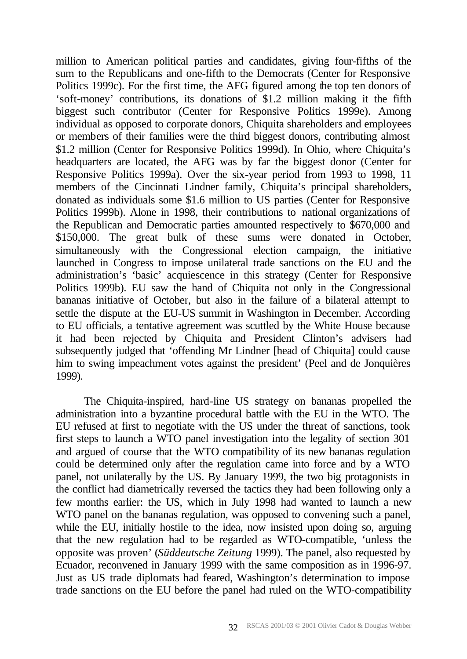million to American political parties and candidates, giving four-fifths of the sum to the Republicans and one-fifth to the Democrats (Center for Responsive Politics 1999c). For the first time, the AFG figured among the top ten donors of 'soft-money' contributions, its donations of \$1.2 million making it the fifth biggest such contributor (Center for Responsive Politics 1999e). Among individual as opposed to corporate donors, Chiquita shareholders and employees or members of their families were the third biggest donors, contributing almost \$1.2 million (Center for Responsive Politics 1999d). In Ohio, where Chiquita's headquarters are located, the AFG was by far the biggest donor (Center for Responsive Politics 1999a). Over the six-year period from 1993 to 1998, 11 members of the Cincinnati Lindner family, Chiquita's principal shareholders, donated as individuals some \$1.6 million to US parties (Center for Responsive Politics 1999b). Alone in 1998, their contributions to national organizations of the Republican and Democratic parties amounted respectively to \$670,000 and \$150,000. The great bulk of these sums were donated in October, simultaneously with the Congressional election campaign, the initiative launched in Congress to impose unilateral trade sanctions on the EU and the administration's 'basic' acquiescence in this strategy (Center for Responsive Politics 1999b). EU saw the hand of Chiquita not only in the Congressional bananas initiative of October, but also in the failure of a bilateral attempt to settle the dispute at the EU-US summit in Washington in December. According to EU officials, a tentative agreement was scuttled by the White House because it had been rejected by Chiquita and President Clinton's advisers had subsequently judged that 'offending Mr Lindner [head of Chiquita] could cause him to swing impeachment votes against the president' (Peel and de Jonquières 1999).

The Chiquita-inspired, hard-line US strategy on bananas propelled the administration into a byzantine procedural battle with the EU in the WTO. The EU refused at first to negotiate with the US under the threat of sanctions, took first steps to launch a WTO panel investigation into the legality of section 301 and argued of course that the WTO compatibility of its new bananas regulation could be determined only after the regulation came into force and by a WTO panel, not unilaterally by the US. By January 1999, the two big protagonists in the conflict had diametrically reversed the tactics they had been following only a few months earlier: the US, which in July 1998 had wanted to launch a new WTO panel on the bananas regulation, was opposed to convening such a panel, while the EU, initially hostile to the idea, now insisted upon doing so, arguing that the new regulation had to be regarded as WTO-compatible, 'unless the opposite was proven' (*Süddeutsche Zeitung* 1999). The panel, also requested by Ecuador, reconvened in January 1999 with the same composition as in 1996-97. Just as US trade diplomats had feared, Washington's determination to impose trade sanctions on the EU before the panel had ruled on the WTO-compatibility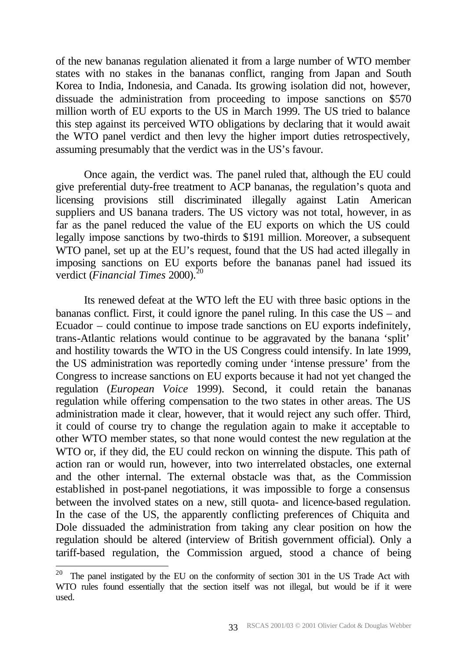of the new bananas regulation alienated it from a large number of WTO member states with no stakes in the bananas conflict, ranging from Japan and South Korea to India, Indonesia, and Canada. Its growing isolation did not, however, dissuade the administration from proceeding to impose sanctions on \$570 million worth of EU exports to the US in March 1999. The US tried to balance this step against its perceived WTO obligations by declaring that it would await the WTO panel verdict and then levy the higher import duties retrospectively, assuming presumably that the verdict was in the US's favour.

Once again, the verdict was. The panel ruled that, although the EU could give preferential duty-free treatment to ACP bananas, the regulation's quota and licensing provisions still discriminated illegally against Latin American suppliers and US banana traders. The US victory was not total, however, in as far as the panel reduced the value of the EU exports on which the US could legally impose sanctions by two-thirds to \$191 million. Moreover, a subsequent WTO panel, set up at the EU's request, found that the US had acted illegally in imposing sanctions on EU exports before the bananas panel had issued its verdict (*Financial Times* 2000).<sup>20</sup>

Its renewed defeat at the WTO left the EU with three basic options in the bananas conflict. First, it could ignore the panel ruling. In this case the US – and Ecuador – could continue to impose trade sanctions on EU exports indefinitely, trans-Atlantic relations would continue to be aggravated by the banana 'split' and hostility towards the WTO in the US Congress could intensify. In late 1999, the US administration was reportedly coming under 'intense pressure' from the Congress to increase sanctions on EU exports because it had not yet changed the regulation (*European Voice* 1999). Second, it could retain the bananas regulation while offering compensation to the two states in other areas. The US administration made it clear, however, that it would reject any such offer. Third, it could of course try to change the regulation again to make it acceptable to other WTO member states, so that none would contest the new regulation at the WTO or, if they did, the EU could reckon on winning the dispute. This path of action ran or would run, however, into two interrelated obstacles, one external and the other internal. The external obstacle was that, as the Commission established in post-panel negotiations, it was impossible to forge a consensus between the involved states on a new, still quota- and licence-based regulation. In the case of the US, the apparently conflicting preferences of Chiquita and Dole dissuaded the administration from taking any clear position on how the regulation should be altered (interview of British government official). Only a tariff-based regulation, the Commission argued, stood a chance of being

 $20$  The panel instigated by the EU on the conformity of section 301 in the US Trade Act with WTO rules found essentially that the section itself was not illegal, but would be if it were used.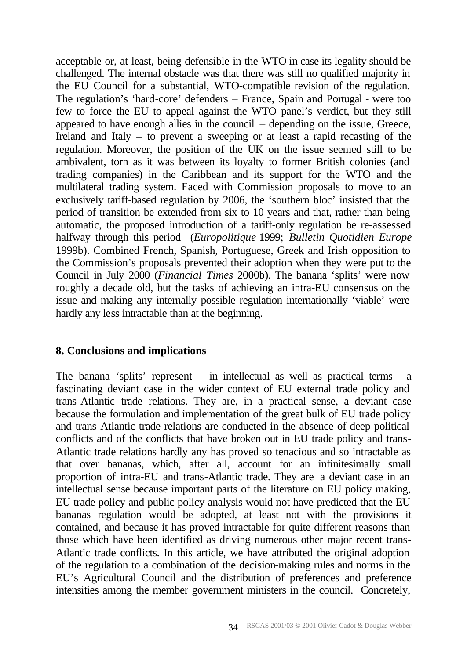acceptable or, at least, being defensible in the WTO in case its legality should be challenged. The internal obstacle was that there was still no qualified majority in the EU Council for a substantial, WTO-compatible revision of the regulation. The regulation's 'hard-core' defenders – France, Spain and Portugal - were too few to force the EU to appeal against the WTO panel's verdict, but they still appeared to have enough allies in the council – depending on the issue, Greece, Ireland and Italy – to prevent a sweeping or at least a rapid recasting of the regulation. Moreover, the position of the UK on the issue seemed still to be ambivalent, torn as it was between its loyalty to former British colonies (and trading companies) in the Caribbean and its support for the WTO and the multilateral trading system. Faced with Commission proposals to move to an exclusively tariff-based regulation by 2006, the 'southern bloc' insisted that the period of transition be extended from six to 10 years and that, rather than being automatic, the proposed introduction of a tariff-only regulation be re-assessed halfway through this period (*Europolitique* 1999; *Bulletin Quotidien Europe* 1999b). Combined French, Spanish, Portuguese, Greek and Irish opposition to the Commission's proposals prevented their adoption when they were put to the Council in July 2000 (*Financial Times* 2000b). The banana 'splits' were now roughly a decade old, but the tasks of achieving an intra-EU consensus on the issue and making any internally possible regulation internationally 'viable' were hardly any less intractable than at the beginning.

## **8. Conclusions and implications**

The banana 'splits' represent – in intellectual as well as practical terms - a fascinating deviant case in the wider context of EU external trade policy and trans-Atlantic trade relations. They are, in a practical sense, a deviant case because the formulation and implementation of the great bulk of EU trade policy and trans-Atlantic trade relations are conducted in the absence of deep political conflicts and of the conflicts that have broken out in EU trade policy and trans-Atlantic trade relations hardly any has proved so tenacious and so intractable as that over bananas, which, after all, account for an infinitesimally small proportion of intra-EU and trans-Atlantic trade. They are a deviant case in an intellectual sense because important parts of the literature on EU policy making, EU trade policy and public policy analysis would not have predicted that the EU bananas regulation would be adopted, at least not with the provisions it contained, and because it has proved intractable for quite different reasons than those which have been identified as driving numerous other major recent trans-Atlantic trade conflicts. In this article, we have attributed the original adoption of the regulation to a combination of the decision-making rules and norms in the EU's Agricultural Council and the distribution of preferences and preference intensities among the member government ministers in the council. Concretely,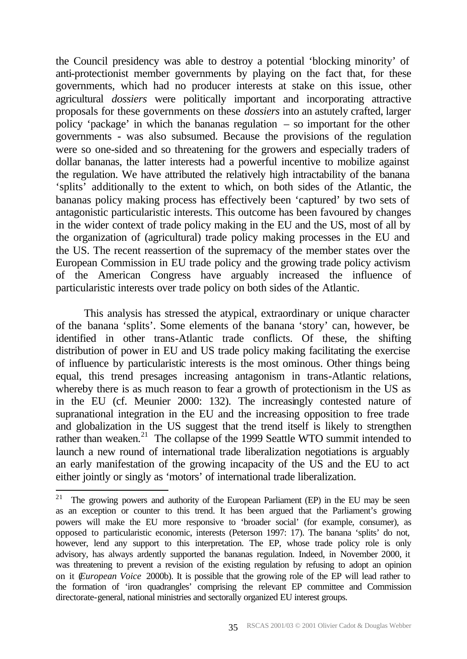the Council presidency was able to destroy a potential 'blocking minority' of anti-protectionist member governments by playing on the fact that, for these governments, which had no producer interests at stake on this issue, other agricultural *dossiers* were politically important and incorporating attractive proposals for these governments on these *dossiers* into an astutely crafted, larger policy 'package' in which the bananas regulation – so important for the other governments - was also subsumed. Because the provisions of the regulation were so one-sided and so threatening for the growers and especially traders of dollar bananas, the latter interests had a powerful incentive to mobilize against the regulation. We have attributed the relatively high intractability of the banana 'splits' additionally to the extent to which, on both sides of the Atlantic, the bananas policy making process has effectively been 'captured' by two sets of antagonistic particularistic interests. This outcome has been favoured by changes in the wider context of trade policy making in the EU and the US, most of all by the organization of (agricultural) trade policy making processes in the EU and the US. The recent reassertion of the supremacy of the member states over the European Commission in EU trade policy and the growing trade policy activism of the American Congress have arguably increased the influence of particularistic interests over trade policy on both sides of the Atlantic.

This analysis has stressed the atypical, extraordinary or unique character of the banana 'splits'. Some elements of the banana 'story' can, however, be identified in other trans-Atlantic trade conflicts. Of these, the shifting distribution of power in EU and US trade policy making facilitating the exercise of influence by particularistic interests is the most ominous. Other things being equal, this trend presages increasing antagonism in trans-Atlantic relations, whereby there is as much reason to fear a growth of protectionism in the US as in the EU (cf. Meunier 2000: 132). The increasingly contested nature of supranational integration in the EU and the increasing opposition to free trade and globalization in the US suggest that the trend itself is likely to strengthen rather than weaken.<sup>21</sup> The collapse of the 1999 Seattle WTO summit intended to launch a new round of international trade liberalization negotiations is arguably an early manifestation of the growing incapacity of the US and the EU to act either jointly or singly as 'motors' of international trade liberalization.

<sup>&</sup>lt;sup>21</sup> The growing powers and authority of the European Parliament (EP) in the EU may be seen as an exception or counter to this trend. It has been argued that the Parliament's growing powers will make the EU more responsive to 'broader social' (for example, consumer), as opposed to particularistic economic, interests (Peterson 1997: 17). The banana 'splits' do not, however, lend any support to this interpretation. The EP, whose trade policy role is only advisory, has always ardently supported the bananas regulation. Indeed, in November 2000, it was threatening to prevent a revision of the existing regulation by refusing to adopt an opinion on it (*European Voice* 2000b). It is possible that the growing role of the EP will lead rather to the formation of 'iron quadrangles' comprising the relevant EP committee and Commission directorate-general, national ministries and sectorally organized EU interest groups.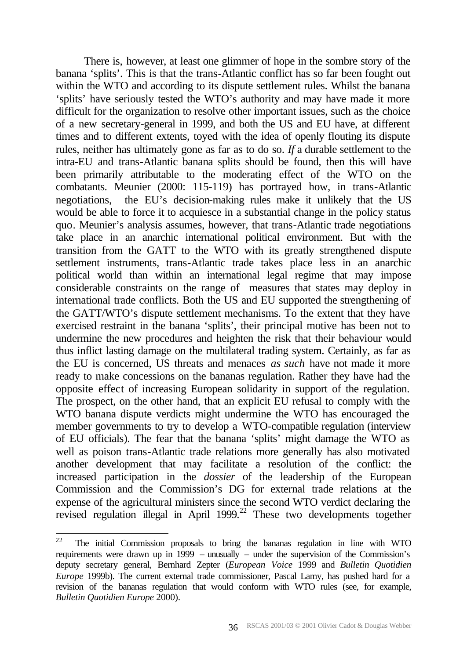There is, however, at least one glimmer of hope in the sombre story of the banana 'splits'. This is that the trans-Atlantic conflict has so far been fought out within the WTO and according to its dispute settlement rules. Whilst the banana 'splits' have seriously tested the WTO's authority and may have made it more difficult for the organization to resolve other important issues, such as the choice of a new secretary-general in 1999, and both the US and EU have, at different times and to different extents, toyed with the idea of openly flouting its dispute rules, neither has ultimately gone as far as to do so. *If* a durable settlement to the intra-EU and trans-Atlantic banana splits should be found, then this will have been primarily attributable to the moderating effect of the WTO on the combatants. Meunier (2000: 115-119) has portrayed how, in trans-Atlantic negotiations, the EU's decision-making rules make it unlikely that the US would be able to force it to acquiesce in a substantial change in the policy status quo. Meunier's analysis assumes, however, that trans-Atlantic trade negotiations take place in an anarchic international political environment. But with the transition from the GATT to the WTO with its greatly strengthened dispute settlement instruments, trans-Atlantic trade takes place less in an anarchic political world than within an international legal regime that may impose considerable constraints on the range of measures that states may deploy in international trade conflicts. Both the US and EU supported the strengthening of the GATT/WTO's dispute settlement mechanisms. To the extent that they have exercised restraint in the banana 'splits', their principal motive has been not to undermine the new procedures and heighten the risk that their behaviour would thus inflict lasting damage on the multilateral trading system. Certainly, as far as the EU is concerned, US threats and menaces *as such* have not made it more ready to make concessions on the bananas regulation. Rather they have had the opposite effect of increasing European solidarity in support of the regulation. The prospect, on the other hand, that an explicit EU refusal to comply with the WTO banana dispute verdicts might undermine the WTO has encouraged the member governments to try to develop a WTO-compatible regulation (interview of EU officials). The fear that the banana 'splits' might damage the WTO as well as poison trans-Atlantic trade relations more generally has also motivated another development that may facilitate a resolution of the conflict: the increased participation in the *dossier* of the leadership of the European Commission and the Commission's DG for external trade relations at the expense of the agricultural ministers since the second WTO verdict declaring the revised regulation illegal in April 1999.<sup>22</sup> These two developments together

<sup>22</sup> The initial Commission proposals to bring the bananas regulation in line with WTO requirements were drawn up in 1999 – unusually – under the supervision of the Commission's deputy secretary general, Bernhard Zepter (*European Voice* 1999 and *Bulletin Quotidien Europe* 1999b). The current external trade commissioner, Pascal Lamy, has pushed hard for a revision of the bananas regulation that would conform with WTO rules (see, for example, *Bulletin Quotidien Europe* 2000).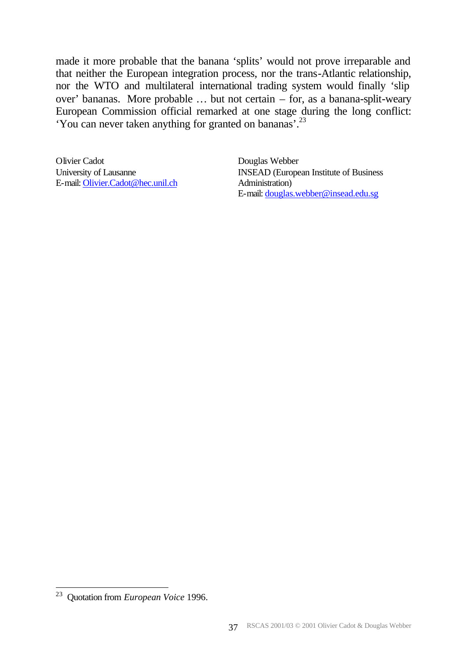made it more probable that the banana 'splits' would not prove irreparable and that neither the European integration process, nor the trans-Atlantic relationship, nor the WTO and multilateral international trading system would finally 'slip over' bananas. More probable … but not certain – for, as a banana-split-weary European Commission official remarked at one stage during the long conflict: 'You can never taken anything for granted on bananas'.<sup>23</sup>

Olivier Cadot University of Lausanne E-mail: Olivier.Cadot@hec.unil.ch Douglas Webber INSEAD (European Institute of Business Administration) E-mail: douglas.webber@insead.edu.sg

<sup>23</sup> Quotation from *European Voice* 1996.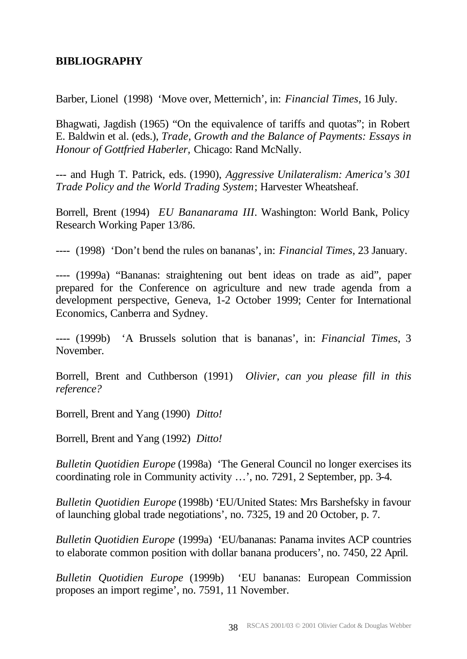# **BIBLIOGRAPHY**

Barber, Lionel (1998) 'Move over, Metternich', in: *Financial Times*, 16 July.

Bhagwati, Jagdish (1965) "On the equivalence of tariffs and quotas"; in Robert E. Baldwin et al. (eds.), *Trade, Growth and the Balance of Payments: Essays in Honour of Gottfried Haberler,* Chicago: Rand McNally.

--- and Hugh T. Patrick, eds. (1990), *Aggressive Unilateralism: America's 301 Trade Policy and the World Trading System*; Harvester Wheatsheaf.

Borrell, Brent (1994) *EU Bananarama III*. Washington: World Bank, Policy Research Working Paper 13/86.

---- (1998) 'Don't bend the rules on bananas', in: *Financial Times*, 23 January.

---- (1999a) "Bananas: straightening out bent ideas on trade as aid", paper prepared for the Conference on agriculture and new trade agenda from a development perspective, Geneva, 1-2 October 1999; Center for International Economics, Canberra and Sydney.

---- (1999b) 'A Brussels solution that is bananas', in: *Financial Times*, 3 November.

Borrell, Brent and Cuthberson (1991) *Olivier, can you please fill in this reference?*

Borrell, Brent and Yang (1990) *Ditto!*

Borrell, Brent and Yang (1992) *Ditto!*

*Bulletin Quotidien Europe* (1998a) 'The General Council no longer exercises its coordinating role in Community activity …', no. 7291, 2 September, pp. 3-4.

*Bulletin Quotidien Europe* (1998b) 'EU/United States: Mrs Barshefsky in favour of launching global trade negotiations', no. 7325, 19 and 20 October, p. 7.

*Bulletin Quotidien Europe* (1999a) 'EU/bananas: Panama invites ACP countries to elaborate common position with dollar banana producers', no. 7450, 22 April.

*Bulletin Quotidien Europe* (1999b) 'EU bananas: European Commission proposes an import regime', no. 7591, 11 November.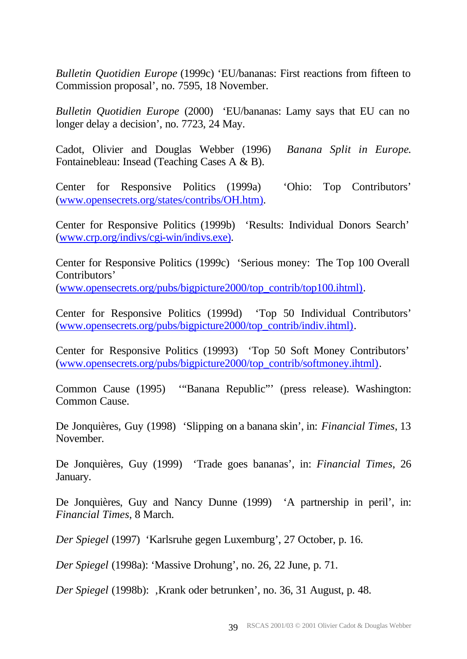*Bulletin Quotidien Europe* (1999c) 'EU/bananas: First reactions from fifteen to Commission proposal', no. 7595, 18 November.

*Bulletin Quotidien Europe* (2000) 'EU/bananas: Lamy says that EU can no longer delay a decision', no. 7723, 24 May.

Cadot, Olivier and Douglas Webber (1996) *Banana Split in Europe*. Fontainebleau: Insead (Teaching Cases A & B).

Center for Responsive Politics (1999a) 'Ohio: Top Contributors' (www.opensecrets.org/states/contribs/OH.htm).

Center for Responsive Politics (1999b) 'Results: Individual Donors Search' (www.crp.org/indivs/cgi-win/indivs.exe).

Center for Responsive Politics (1999c) 'Serious money: The Top 100 Overall Contributors'

(www.opensecrets.org/pubs/bigpicture2000/top\_contrib/top100.ihtml).

Center for Responsive Politics (1999d) 'Top 50 Individual Contributors' (www.opensecrets.org/pubs/bigpicture2000/top\_contrib/indiv.ihtml).

Center for Responsive Politics (19993) 'Top 50 Soft Money Contributors' (www.opensecrets.org/pubs/bigpicture2000/top\_contrib/softmoney.ihtml).

Common Cause (1995) '"Banana Republic"' (press release). Washington: Common Cause.

De Jonquières, Guy (1998) 'Slipping on a banana skin', in: *Financial Times*, 13 November.

De Jonquières, Guy (1999) 'Trade goes bananas', in: *Financial Times*, 26 January.

De Jonquières, Guy and Nancy Dunne (1999) 'A partnership in peril', in: *Financial Times*, 8 March.

*Der Spiegel* (1997) 'Karlsruhe gegen Luxemburg', 27 October, p. 16.

*Der Spiegel* (1998a): 'Massive Drohung', no. 26, 22 June, p. 71.

*Der Spiegel* (1998b): ,Krank oder betrunken', no. 36, 31 August, p. 48.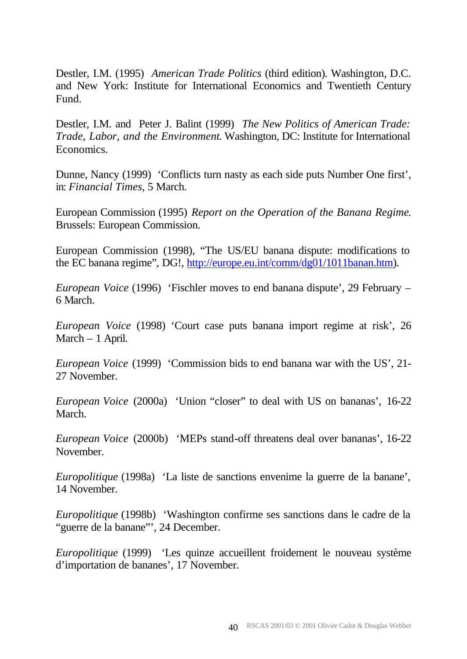Destler, I.M. (1995) *American Trade Politics* (third edition). Washington, D.C. and New York: Institute for International Economics and Twentieth Century Fund.

Destler, I.M. and Peter J. Balint (1999) *The New Politics of American Trade: Trade, Labor, and the Environment*. Washington, DC: Institute for International Economics.

Dunne, Nancy (1999) 'Conflicts turn nasty as each side puts Number One first', in: *Financial Times*, 5 March.

European Commission (1995) *Report on the Operation of the Banana Regime*. Brussels: European Commission.

European Commission (1998), "The US/EU banana dispute: modifications to the EC banana regime", DG!, http://europe.eu.int/comm/dg01/1011banan.htm).

*European Voice* (1996) 'Fischler moves to end banana dispute', 29 February – 6 March.

*European Voice* (1998) 'Court case puts banana import regime at risk', 26 March – 1 April.

*European Voice* (1999) 'Commission bids to end banana war with the US', 21- 27 November.

*European Voice* (2000a) 'Union "closer" to deal with US on bananas', 16-22 March.

*European Voice* (2000b) 'MEPs stand-off threatens deal over bananas', 16-22 November.

*Europolitique* (1998a) 'La liste de sanctions envenime la guerre de la banane', 14 November.

*Europolitique* (1998b) 'Washington confirme ses sanctions dans le cadre de la "guerre de la banane"', 24 December.

*Europolitique* (1999) 'Les quinze accueillent froidement le nouveau système d'importation de bananes', 17 November.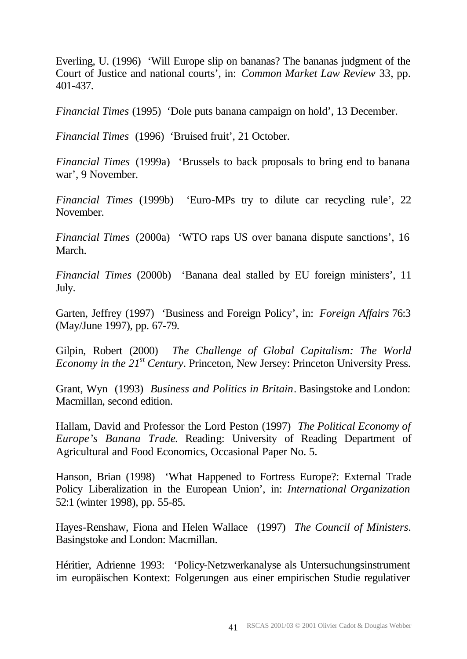Everling, U. (1996) 'Will Europe slip on bananas? The bananas judgment of the Court of Justice and national courts', in: *Common Market Law Review* 33, pp. 401-437.

*Financial Times* (1995) 'Dole puts banana campaign on hold', 13 December.

*Financial Times* (1996) 'Bruised fruit', 21 October.

*Financial Times* (1999a) 'Brussels to back proposals to bring end to banana war', 9 November.

*Financial Times* (1999b) 'Euro-MPs try to dilute car recycling rule', 22 November.

*Financial Times* (2000a) 'WTO raps US over banana dispute sanctions', 16 March.

*Financial Times* (2000b) 'Banana deal stalled by EU foreign ministers', 11 July.

Garten, Jeffrey (1997) 'Business and Foreign Policy', in: *Foreign Affairs* 76:3 (May/June 1997), pp. 67-79.

Gilpin, Robert (2000) *The Challenge of Global Capitalism: The World Economy in the 21st Century*. Princeton, New Jersey: Princeton University Press.

Grant, Wyn (1993) *Business and Politics in Britain*. Basingstoke and London: Macmillan, second edition.

Hallam, David and Professor the Lord Peston (1997) *The Political Economy of Europe's Banana Trade*. Reading: University of Reading Department of Agricultural and Food Economics, Occasional Paper No. 5.

Hanson, Brian (1998) 'What Happened to Fortress Europe?: External Trade Policy Liberalization in the European Union', in: *International Organization*  52:1 (winter 1998), pp. 55-85.

Hayes-Renshaw, Fiona and Helen Wallace (1997) *The Council of Ministers*. Basingstoke and London: Macmillan.

Héritier, Adrienne 1993: 'Policy-Netzwerkanalyse als Untersuchungsinstrument im europäischen Kontext: Folgerungen aus einer empirischen Studie regulativer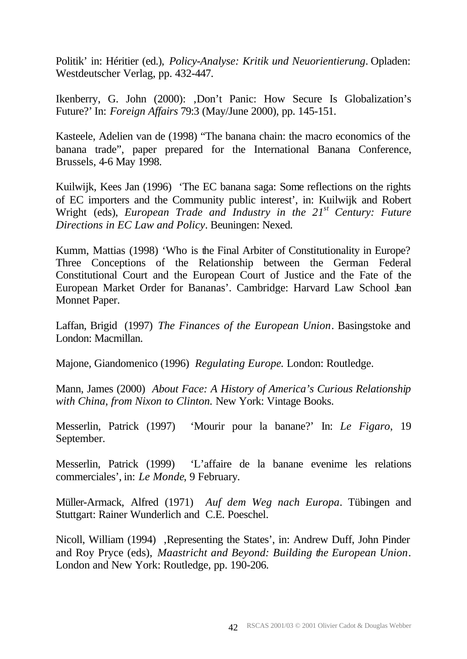Politik' in: Héritier (ed.), *Policy-Analyse: Kritik und Neuorientierung*. Opladen: Westdeutscher Verlag, pp. 432-447.

Ikenberry, G. John (2000): ,Don't Panic: How Secure Is Globalization's Future?' In: *Foreign Affairs* 79:3 (May/June 2000), pp. 145-151.

Kasteele, Adelien van de (1998) "The banana chain: the macro economics of the banana trade", paper prepared for the International Banana Conference, Brussels, 4-6 May 1998.

Kuilwijk, Kees Jan (1996) 'The EC banana saga: Some reflections on the rights of EC importers and the Community public interest', in: Kuilwijk and Robert Wright (eds), *European Trade and Industry in the 21st Century: Future Directions in EC Law and Policy*. Beuningen: Nexed.

Kumm, Mattias (1998) 'Who is the Final Arbiter of Constitutionality in Europe? Three Conceptions of the Relationship between the German Federal Constitutional Court and the European Court of Justice and the Fate of the European Market Order for Bananas'. Cambridge: Harvard Law School Jean Monnet Paper.

Laffan, Brigid (1997) *The Finances of the European Union*. Basingstoke and London: Macmillan.

Majone, Giandomenico (1996) *Regulating Europe*. London: Routledge.

Mann, James (2000) *About Face: A History of America's Curious Relationship with China, from Nixon to Clinton.* New York: Vintage Books.

Messerlin, Patrick (1997) 'Mourir pour la banane?' In: *Le Figaro*, 19 September.

Messerlin, Patrick (1999) 'L'affaire de la banane evenime les relations commerciales', in: *Le Monde*, 9 February.

Müller-Armack, Alfred (1971) *Auf dem Weg nach Europa*. Tübingen and Stuttgart: Rainer Wunderlich and C.E. Poeschel.

Nicoll, William (1994), Representing the States', in: Andrew Duff, John Pinder and Roy Pryce (eds), *Maastricht and Beyond: Building the European Union*. London and New York: Routledge, pp. 190-206.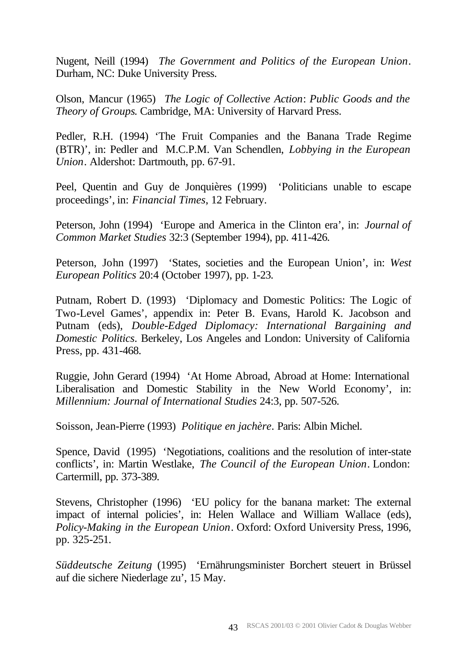Nugent, Neill (1994) *The Government and Politics of the European Union*. Durham, NC: Duke University Press.

Olson, Mancur (1965) *The Logic of Collective Action*: *Public Goods and the Theory of Groups*. Cambridge, MA: University of Harvard Press.

Pedler, R.H. (1994) 'The Fruit Companies and the Banana Trade Regime (BTR)', in: Pedler and M.C.P.M. Van Schendlen, *Lobbying in the European Union*. Aldershot: Dartmouth, pp. 67-91.

Peel, Quentin and Guy de Jonquières (1999) 'Politicians unable to escape proceedings', in: *Financial Times*, 12 February.

Peterson, John (1994) 'Europe and America in the Clinton era', in: *Journal of Common Market Studies* 32:3 (September 1994), pp. 411-426.

Peterson, John (1997) 'States, societies and the European Union', in: *West European Politics* 20:4 (October 1997), pp. 1-23.

Putnam, Robert D. (1993) 'Diplomacy and Domestic Politics: The Logic of Two-Level Games', appendix in: Peter B. Evans, Harold K. Jacobson and Putnam (eds), *Double-Edged Diplomacy: International Bargaining and Domestic Politics*. Berkeley, Los Angeles and London: University of California Press, pp. 431-468.

Ruggie, John Gerard (1994) 'At Home Abroad, Abroad at Home: International Liberalisation and Domestic Stability in the New World Economy', in: *Millennium: Journal of International Studies* 24:3, pp. 507-526.

Soisson, Jean-Pierre (1993) *Politique en jachère*. Paris: Albin Michel.

Spence, David (1995) 'Negotiations, coalitions and the resolution of inter-state conflicts', in: Martin Westlake, *The Council of the European Union*. London: Cartermill, pp. 373-389.

Stevens, Christopher (1996) 'EU policy for the banana market: The external impact of internal policies', in: Helen Wallace and William Wallace (eds), *Policy-Making in the European Union*. Oxford: Oxford University Press, 1996, pp. 325-251.

*Süddeutsche Zeitung* (1995) 'Ernährungsminister Borchert steuert in Brüssel auf die sichere Niederlage zu', 15 May.